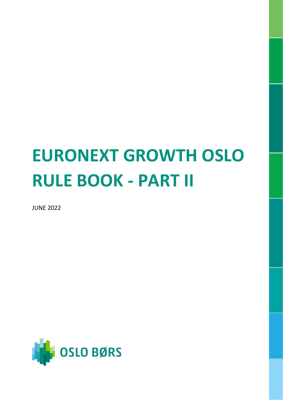# **EURONEXT GROWTH OSLO RULE BOOK - PART II**

JUNE 2022

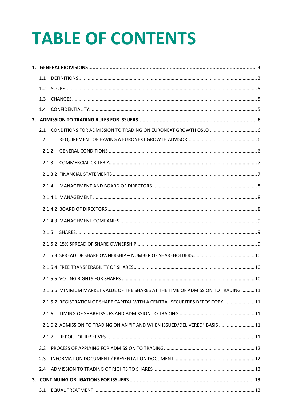# **TABLE OF CONTENTS**

| 1.1           |  |                                                                                    |  |
|---------------|--|------------------------------------------------------------------------------------|--|
| 1.2           |  |                                                                                    |  |
| 1.3           |  |                                                                                    |  |
| 1.4           |  |                                                                                    |  |
|               |  |                                                                                    |  |
|               |  |                                                                                    |  |
| 2.1.1         |  |                                                                                    |  |
| 2.1.2         |  |                                                                                    |  |
| 2.1.3         |  |                                                                                    |  |
|               |  |                                                                                    |  |
| 2.1.4         |  |                                                                                    |  |
|               |  |                                                                                    |  |
|               |  |                                                                                    |  |
|               |  |                                                                                    |  |
| 2.1.5         |  |                                                                                    |  |
|               |  |                                                                                    |  |
|               |  |                                                                                    |  |
|               |  |                                                                                    |  |
|               |  |                                                                                    |  |
|               |  | 2.1.5.6 MINIMUM MARKET VALUE OF THE SHARES AT THE TIME OF ADMISSION TO TRADING  11 |  |
|               |  | 2.1.5.7 REGISTRATION OF SHARE CAPITAL WITH A CENTRAL SECURITIES DEPOSITORY  11     |  |
| 2.1.6         |  |                                                                                    |  |
|               |  | 2.1.6.2 ADMISSION TO TRADING ON AN "IF AND WHEN ISSUED/DELIVERED" BASIS  11        |  |
| 2.1.7         |  |                                                                                    |  |
| $2.2^{\circ}$ |  |                                                                                    |  |
| 2.3           |  |                                                                                    |  |
| 2.4           |  |                                                                                    |  |
|               |  |                                                                                    |  |
| 3.1           |  |                                                                                    |  |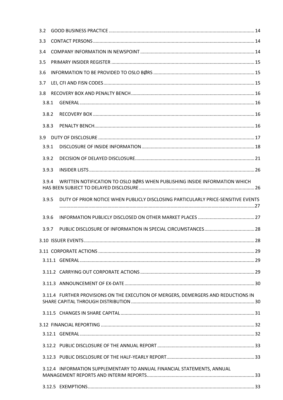| 3.2   |                                                                                    |  |
|-------|------------------------------------------------------------------------------------|--|
| 3.3   |                                                                                    |  |
| 3.4   |                                                                                    |  |
| 3.5   |                                                                                    |  |
| 3.6   |                                                                                    |  |
| 3.7   |                                                                                    |  |
| 3.8   |                                                                                    |  |
| 3.8.1 |                                                                                    |  |
| 3.8.2 |                                                                                    |  |
| 3.8.3 |                                                                                    |  |
| 3.9   |                                                                                    |  |
| 3.9.1 |                                                                                    |  |
| 3.9.2 |                                                                                    |  |
| 3.9.3 |                                                                                    |  |
| 3.9.4 | WRITTEN NOTIFICATION TO OSLO BØRS WHEN PUBLISHING INSIDE INFORMATION WHICH         |  |
| 3.9.5 | DUTY OF PRIOR NOTICE WHEN PUBLICLY DISCLOSING PARTICULARLY PRICE-SENSITIVE EVENTS  |  |
| 3.9.6 |                                                                                    |  |
| 3.9.7 |                                                                                    |  |
|       |                                                                                    |  |
|       |                                                                                    |  |
|       |                                                                                    |  |
|       |                                                                                    |  |
|       |                                                                                    |  |
|       | 3.11.4 FURTHER PROVISIONS ON THE EXECUTION OF MERGERS, DEMERGERS AND REDUCTIONS IN |  |
|       |                                                                                    |  |
|       |                                                                                    |  |
|       |                                                                                    |  |
|       |                                                                                    |  |
|       |                                                                                    |  |
|       | 3.12.4 INFORMATION SUPPLEMENTARY TO ANNUAL FINANCIAL STATEMENTS, ANNUAL            |  |
|       |                                                                                    |  |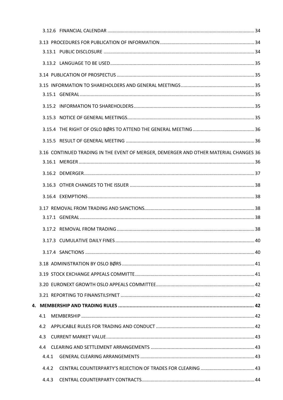|       | 3.16 CONTINUED TRADING IN THE EVENT OF MERGER, DEMERGER AND OTHER MATERIAL CHANGES 36 |  |
|-------|---------------------------------------------------------------------------------------|--|
|       |                                                                                       |  |
|       |                                                                                       |  |
|       |                                                                                       |  |
|       |                                                                                       |  |
|       |                                                                                       |  |
|       |                                                                                       |  |
|       |                                                                                       |  |
|       |                                                                                       |  |
|       |                                                                                       |  |
|       |                                                                                       |  |
|       |                                                                                       |  |
|       |                                                                                       |  |
|       |                                                                                       |  |
|       |                                                                                       |  |
| 4.1   |                                                                                       |  |
| 4.2   |                                                                                       |  |
| 4.3   |                                                                                       |  |
| 4.4   |                                                                                       |  |
| 4.4.1 |                                                                                       |  |
| 4.4.2 |                                                                                       |  |
| 4.4.3 |                                                                                       |  |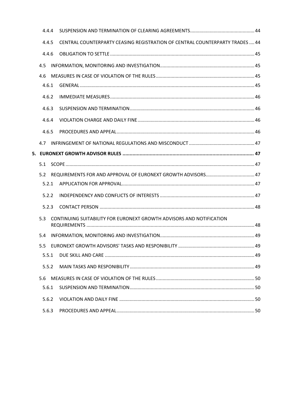|       | 4.4.4 |                                                                              |  |
|-------|-------|------------------------------------------------------------------------------|--|
|       | 4.4.5 | CENTRAL COUNTERPARTY CEASING REGISTRATION OF CENTRAL COUNTERPARTY TRADES  44 |  |
|       | 4.4.6 |                                                                              |  |
|       | 4.5   |                                                                              |  |
|       | 4.6   |                                                                              |  |
|       | 4.6.1 |                                                                              |  |
| 4.6.2 |       |                                                                              |  |
|       | 4.6.3 |                                                                              |  |
|       | 4.6.4 |                                                                              |  |
|       | 4.6.5 |                                                                              |  |
|       | 4.7   |                                                                              |  |
|       |       | 5. EURONEXT GROWTH ADVISOR RULES ……………………………………………………………………………………… 47        |  |
|       | 5.1   |                                                                              |  |
|       | 5.2   |                                                                              |  |
|       | 5.2.1 |                                                                              |  |
|       | 5.2.2 |                                                                              |  |
|       | 5.2.3 |                                                                              |  |
|       | 5.3   | CONTINUING SUITABILITY FOR EURONEXT GROWTH ADVISORS AND NOTIFICATION         |  |
|       | 5.4   |                                                                              |  |
|       | 5.5   |                                                                              |  |
|       | 5.5.1 |                                                                              |  |
|       | 5.5.2 |                                                                              |  |
|       | 5.6   |                                                                              |  |
|       | 5.6.1 |                                                                              |  |
|       | 5.6.2 |                                                                              |  |
|       | 5.6.3 |                                                                              |  |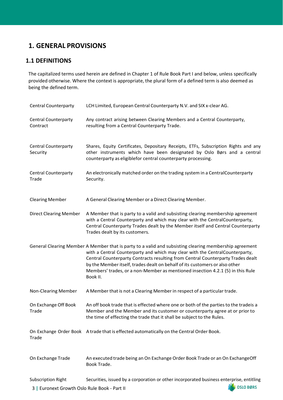# <span id="page-5-0"></span>**1. GENERAL PROVISIONS**

# <span id="page-5-1"></span>**1.1 DEFINITIONS**

The capitalized terms used herein are defined in Chapter 1 of Rule Book Part I and below, unless specifically provided otherwise. Where the context is appropriate, the plural form of a defined term is also deemed as being the defined term.

| LCH Limited, European Central Counterparty N.V. and SIX x-clear AG.                                                                                                                                                                                                                                                                                                                                                                                     |
|---------------------------------------------------------------------------------------------------------------------------------------------------------------------------------------------------------------------------------------------------------------------------------------------------------------------------------------------------------------------------------------------------------------------------------------------------------|
| Any contract arising between Clearing Members and a Central Counterparty,<br>resulting from a Central Counterparty Trade.                                                                                                                                                                                                                                                                                                                               |
| Shares, Equity Certificates, Depositary Receipts, ETFs, Subscription Rights and any<br>other instruments which have been designated by Oslo Børs and a central<br>counterparty as eligiblefor central counterparty processing.                                                                                                                                                                                                                          |
| An electronically matched order on the trading system in a CentralCounterparty<br>Security.                                                                                                                                                                                                                                                                                                                                                             |
| A General Clearing Member or a Direct Clearing Member.                                                                                                                                                                                                                                                                                                                                                                                                  |
| A Member that is party to a valid and subsisting clearing membership agreement<br>with a Central Counterparty and which may clear with the CentralCounterparty,<br>Central Counterparty Trades dealt by the Member itself and Central Counterparty<br>Trades dealt by its customers.                                                                                                                                                                    |
| General Clearing Member A Member that is party to a valid and subsisting clearing membership agreement<br>with a Central Counterparty and which may clear with the CentralCounterparty,<br>Central Counterparty Contracts resulting from Central Counterparty Trades dealt<br>by the Member itself, trades dealt on behalf of its customers or also other<br>Members' trades, or a non-Member as mentioned insection 4.2.1 (5) in this Rule<br>Book II. |
| A Member that is not a Clearing Member in respect of a particular trade.                                                                                                                                                                                                                                                                                                                                                                                |
| An off book trade that is effected where one or both of the parties to the tradeis a<br>Member and the Member and its customer or counterparty agree at or prior to<br>the time of effecting the trade that it shall be subject to the Rules.                                                                                                                                                                                                           |
| On Exchange Order Book A trade that is effected automatically on the Central Order Book.                                                                                                                                                                                                                                                                                                                                                                |
| An executed trade being an On Exchange Order Book Trade or an On ExchangeOff<br>Book Trade.                                                                                                                                                                                                                                                                                                                                                             |
| Securities, issued by a corporation or other incorporated business enterprise, entitling<br><b>DIED BØRS</b><br>3   Furonext Growth Oslo Rule Book - Part II                                                                                                                                                                                                                                                                                            |
|                                                                                                                                                                                                                                                                                                                                                                                                                                                         |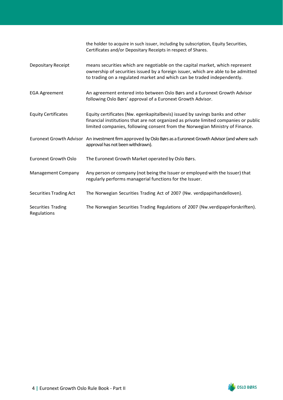|                                   | the holder to acquire in such issuer, including by subscription, Equity Securities,<br>Certificates and/or Depositary Receipts in respect of Shares.                                                                                                 |
|-----------------------------------|------------------------------------------------------------------------------------------------------------------------------------------------------------------------------------------------------------------------------------------------------|
| Depositary Receipt                | means securities which are negotiable on the capital market, which represent<br>ownership of securities issued by a foreign issuer, which are able to be admitted<br>to trading on a regulated market and which can be traded independently.         |
| <b>EGA Agreement</b>              | An agreement entered into between Oslo Børs and a Euronext Growth Advisor<br>following Oslo Børs' approval of a Euronext Growth Advisor.                                                                                                             |
| <b>Equity Certificates</b>        | Equity certificates (Nw. egenkapitalbevis) issued by savings banks and other<br>financial institutions that are not organized as private limited companies or public<br>limited companies, following consent from the Norwegian Ministry of Finance. |
|                                   | Euronext Growth Advisor An investment firm approved by Oslo Børs as a Euronext Growth Advisor (and where such<br>approval has not been withdrawn).                                                                                                   |
| <b>Euronext Growth Oslo</b>       | The Euronext Growth Market operated by Oslo Børs.                                                                                                                                                                                                    |
| Management Company                | Any person or company (not being the Issuer or employed with the Issuer) that<br>regularly performs managerial functions for the Issuer.                                                                                                             |
| <b>Securities Trading Act</b>     | The Norwegian Securities Trading Act of 2007 (Nw. verdipapirhandelloven).                                                                                                                                                                            |
| Securities Trading<br>Regulations | The Norwegian Securities Trading Regulations of 2007 (Nw.verdipapirforskriften).                                                                                                                                                                     |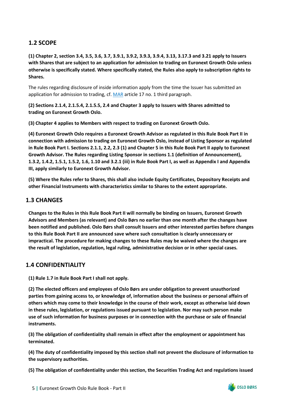# <span id="page-7-0"></span>**1.2 SCOPE**

**(1) Chapter 2, section 3.4, 3.5, 3.6, 3.7, 3.9.1, 3.9.2, 3.9.3, 3.9.4, 3.13, 3.17.3 and 3.21 apply to Issuers with Shares that are subject to an application for admission to trading on Euronext Growth Oslo unless otherwise is specifically stated. Where specifically stated, the Rules also apply to subscription rights to Shares.**

The rules regarding disclosure of inside information apply from the time the Issuer has submitted an application for admission to trading, cf[. MAR](https://eur-lex.europa.eu/legal-content/EN/TXT/PDF/?uri=CELEX%3A32014R0596&from=EN) article 17 no. 1 third paragraph.

**(2) Sections 2.1.4, 2.1.5.4, 2.1.5.5, 2.4 and Chapter 3 apply to Issuers with Shares admitted to trading on Euronext Growth Oslo.**

**(3) Chapter 4 applies to Members with respect to trading on Euronext Growth Oslo.**

**(4) Euronext Growth Oslo requires a Euronext Growth Advisor as regulated in this Rule Book Part II in connection with admission to trading on Euronext Growth Oslo, instead of Listing Sponsor as regulated in Rule Book Part I. Sections 2.1.1, 2.2, 2.3 (1) and Chapter 5 in this Rule Book Part II apply to Euronext Growth Advisor. The Rules regarding Listing Sponsor in sections 1.1 (definition of Announcement), 1.3.2, 1.4.2, 1.5.1, 1.5.2, 1.6, 1.10 and 3.2.1 (iii) in Rule Book Part I, as well as Appendix I and Appendix III, apply similarly to Euronext Growth Advisor.**

**(5) Where the Rules refer to Shares, this shall also include Equity Certificates, Depository Receipts and other Financial Instruments with characteristics similar to Shares to the extent appropriate.**

# <span id="page-7-1"></span>**1.3 CHANGES**

**Changes to the Rules in this Rule Book Part II will normally be binding on Issuers, Euronext Growth Advisors and Members (as relevant) and Oslo Børs no earlier than one month after the changes have been notified and published. Oslo Børs shall consult Issuers and other interested parties before changes to this Rule Book Part II are announced save where such consultation is clearly unnecessary or impractical. The procedure for making changes to these Rules may be waived where the changes are the result of legislation, regulation, legal ruling, administrative decision or in other special cases.**

# <span id="page-7-2"></span>**1.4 CONFIDENTIALITY**

**(1) Rule 1.7 in Rule Book Part I shall not apply.**

**(2) The elected officers and employees of Oslo Børs are under obligation to prevent unauthorized parties from gaining access to, or knowledge of, information about the business or personal affairs of others which may come to their knowledge in the course of their work, except as otherwise laid down in these rules, legislation, or regulations issued pursuant to legislation. Nor may such person make use of such information for business purposes or in connection with the purchase or sale of financial instruments.**

**(3) The obligation of confidentiality shall remain in effect after the employment or appointment has terminated.** 

**(4) The duty of confidentiality imposed by this section shall not prevent the disclosure of information to the supervisory authorities.**

**(5) The obligation of confidentiality under this section, the Securities Trading Act and regulations issued** 

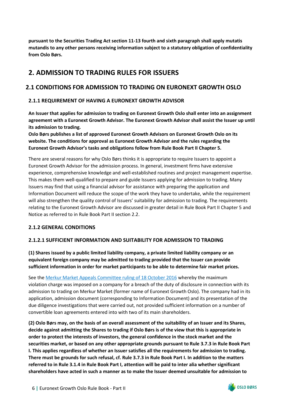**pursuant to the Securities Trading Act section 11-13 fourth and sixth paragraph shall apply mutatis mutandis to any other persons receiving information subject to a statutory obligation of confidentiality from Oslo Børs.**

# <span id="page-8-0"></span>**2. ADMISSION TO TRADING RULES FOR ISSUERS**

# <span id="page-8-1"></span>**2.1 CONDITIONS FOR ADMISSION TO TRADING ON EURONEXT GROWTH OSLO**

## <span id="page-8-2"></span>**2.1.1 REQUIREMENT OF HAVING A EURONEXT GROWTH ADVISOR**

**An Issuer that applies for admission to trading on Euronext Growth Oslo shall enter into an assignment agreement with a Euronext Growth Advisor. The Euronext Growth Advisor shall assist the Issuer up until its admission to trading.**

**Oslo Børs publishes a list of approved Euronext Growth Advisors on Euronext Growth Oslo on its website. The conditions for approval as Euronext Growth Advisor and the rules regarding the Euronext Growth Advisor's tasks and obligations follow from Rule Book Part II Chapter 5.** 

There are several reasons for why Oslo Børs thinks it is appropriate to require Issuers to appoint a Euronext Growth Advisor for the admission process. In general, investment firms have extensive experience, comprehensive knowledge and well-established routines and project management expertise. This makes them well-qualified to prepare and guide Issuers applying for admission to trading. Many Issuers may find that using a financial advisor for assistance with preparing the application and Information Document will reduce the scope of the work they have to undertake, while the requirement will also strengthen the quality control of Issuers' suitability for admission to trading. The requirements relating to the Euronext Growth Advisor are discussed in greater detail in Rule Book Part II Chapter 5 and Notice as referred to in Rule Book Part II section 2.2.

## <span id="page-8-3"></span>**2.1.2 GENERAL CONDITIONS**

## **2.1.2.1 SUFFICIENT INFORMATION AND SUITABILITY FOR ADMISSION TO TRADING**

**(1) Shares issued by a public limited liability company, a private limited liability company or an equivalent foreign company may be admitted to trading provided that the Issuer can provide sufficient information in order for market participants to be able to determine fair market prices.**

See the [Merkur Market Appeals Committee ruling of 18 October](https://www.euronext.com/sites/default/files/2020-10/Merkur%20Market%20klagenemd%20-%20Avgjorelse%20OXXY%20-%20Endelig%20%20versjon%202016-10-18_E.pdf) 2016 whereby the maximum violation charge was imposed on a company for a breach of the duty of disclosure in connection with its admission to trading on Merkur Market (former name of Euronext Growth Oslo). The company had in its application, admission document (corresponding to Information Document) and its presentation of the due diligence investigations that were carried out, not provided sufficient information on a number of convertible loan agreements entered into with two of its main shareholders.

**(2) Oslo Børs may, on the basis of an overall assessment of the suitability of an Issuer and its Shares, decide against admitting the Shares to trading if Oslo Børs is of the view that this is appropriate in order to protect the interests of investors, the general confidence in the stock market and the securities market, or based on any other appropriate grounds pursuant to Rule 3.7.3 in Rule Book Part I. This applies regardless of whether an Issuer satisfies all the requirements for admission to trading. There must be grounds for such refusal, cf. Rule 3.7.3 in Rule Book Part I. In addition to the matters referred to in Rule 3.1.4 in Rule Book Part I, attention will be paid to inter alia whether significant shareholders have acted in such a manner as to make the Issuer deemed unsuitable for admission to** 

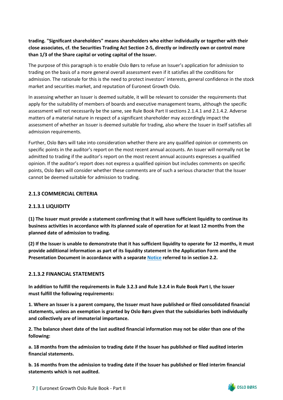**trading. "Significant shareholders" means shareholders who either individually or together with their close associates, cf. the Securities Trading Act Section 2-5, directly or indirectly own or control more than 1/3 of the Share capital or voting capital of the Issuer.**

The purpose of this paragraph is to enable Oslo Børs to refuse an Issuer's application for admission to trading on the basis of a more general overall assessment even if it satisfies all the conditions for admission. The rationale for this is the need to protect investors' interests, general confidence in the stock market and securities market, and reputation of Euronext Growth Oslo.

In assessing whether an Issuer is deemed suitable, it will be relevant to consider the requirements that apply for the suitability of members of boards and executive management teams, although the specific assessment will not necessarily be the same, see Rule Book Part II sections 2.1.4.1 and 2.1.4.2. Adverse matters of a material nature in respect of a significant shareholder may accordingly impact the assessment of whether an Issuer is deemed suitable for trading, also where the Issuer in itself satisfies all admission requirements.

Further, Oslo Børs will take into consideration whether there are any qualified opinion or comments on specific points in the auditor's report on the most recent annual accounts. An Issuer will normally not be admitted to trading if the auditor's report on the most recent annual accounts expresses a qualified opinion. If the auditor's report does not express a qualified opinion but includes comments on specific points, Oslo Børs will consider whether these comments are of such a serious character that the Issuer cannot be deemed suitable for admission to trading.

### <span id="page-9-0"></span>**2.1.3 COMMERCIAL CRITERIA**

#### **2.1.3.1 LIQUIDITY**

**(1) The Issuer must provide a statement confirming that it will have sufficient liquidity to continue its business activities in accordance with its planned scale of operation for at least 12 months from the planned date of admission to trading.**

**(2) If the Issuer is unable to demonstrate that it has sufficient liquidity to operate for 12 months, it must provide additional information as part of its liquidity statement in the Application Form and the Presentation Document in accordance with a separate [Notice](https://www.euronext.com/en/media/6353/download) referred to in section 2.2.**

#### <span id="page-9-1"></span>**2.1.3.2 FINANCIAL STATEMENTS**

**In addition to fulfill the requirements in Rule 3.2.3 and Rule 3.2.4 in Rule Book Part I, the Issuer must fulfill the following requirements:**

**1. Where an Issuer is a parent company, the Issuer must have published or filed consolidated financial statements, unless an exemption is granted by Oslo Børs given that the subsidiaries both individually and collectively are of immaterial importance.** 

**2. The balance sheet date of the last audited financial information may not be older than one of the following:**

**a. 18 months from the admission to trading date if the Issuer has published or filed audited interim financial statements.**

**b. 16 months from the admission to trading date if the Issuer has published or filed interim financial statements which is not audited.**

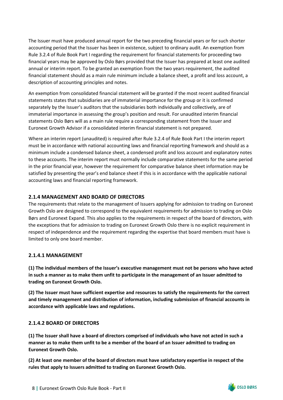The Issuer must have produced annual report for the two preceding financial years or for such shorter accounting period that the Issuer has been in existence, subject to ordinary audit. An exemption from Rule 3.2.4 of Rule Book Part I regarding the requirement for financial statements for proceeding two financial years may be approved by Oslo Børs provided that the Issuer has prepared at least one audited annual or interim report. To be granted an exemption from the two years requirement, the audited financial statement should as a main rule minimum include a balance sheet, a profit and loss account, a description of accounting principles and notes.

An exemption from consolidated financial statement will be granted if the most recent audited financial statements states that subsidiaries are of immaterial importance for the group or it is confirmed separately by the Issuer's auditors that the subsidiaries both individually and collectively, are of immaterial importance in assessing the group's position and result. For unaudited interim financial statements Oslo Børs will as a main rule require a corresponding statement from the Issuer and Euronext Growth Advisor if a consolidated interim financial statement is not prepared.

Where an interim report (unaudited) is required after Rule 3.2.4 of Rule Book Part I the interim report must be in accordance with national accounting laws and financial reporting framework and should as a minimum include a condensed balance sheet, a condensed profit and loss account and explanatory notes to these accounts. The interim report must normally include comparative statements for the same period in the prior financial year, however the requirement for comparative balance sheet information may be satisfied by presenting the year's end balance sheet if this is in accordance with the applicable national accounting laws and financial reporting framework.

## <span id="page-10-0"></span>**2.1.4 MANAGEMENT AND BOARD OF DIRECTORS**

The requirements that relate to the management of Issuers applying for admission to trading on Euronext Growth Oslo are designed to correspond to the equivalent requirements for admission to trading on Oslo Børs and Euronext Expand. This also applies to the requirements in respect of the board of directors, with the exceptions that for admission to trading on Euronext Growth Oslo there is no explicit requirement in respect of independence and the requirement regarding the expertise that board members must have is limited to only one board member.

## <span id="page-10-1"></span>**2.1.4.1 MANAGEMENT**

**(1) The individual members of the Issuer's executive management must not be persons who have acted in such a manner as to make them unfit to participate in the management of an Issuer admitted to trading on Euronext Growth Oslo.**

**(2) The Issuer must have sufficient expertise and resources to satisfy the requirements for the correct and timely management and distribution of information, including submission of financial accounts in accordance with applicable laws and regulations.**

## <span id="page-10-2"></span>**2.1.4.2 BOARD OF DIRECTORS**

**(1) The Issuer shall have a board of directors comprised of individuals who have not acted in such a manner as to make them unfit to be a member of the board of an Issuer admitted to trading on Euronext Growth Oslo.**

**(2) At least one member of the board of directors must have satisfactory expertise in respect of the rules that apply to Issuers admitted to trading on Euronext Growth Oslo.**

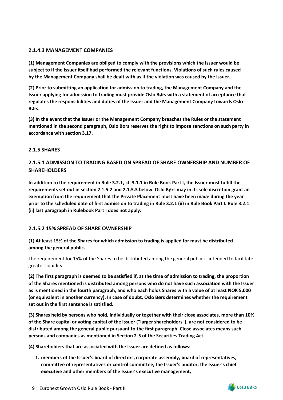## <span id="page-11-0"></span>**2.1.4.3 MANAGEMENT COMPANIES**

**(1) Management Companies are obliged to comply with the provisions which the Issuer would be subject to if the Issuer itself had performed the relevant functions. Violations of such rules caused by the Management Company shall be dealt with as if the violation was caused by the Issuer.**

**(2) Prior to submitting an application for admission to trading, the Management Company and the Issuer applying for admission to trading must provide Oslo Børs with a statement of acceptance that regulates the responsibilities and duties of the Issuer and the Management Company towards Oslo Børs.**

**(3) In the event that the Issuer or the Management Company breaches the Rules or the statement mentioned in the second paragraph, Oslo Børs reserves the right to impose sanctions on such party in accordance with section 3.17.**

## <span id="page-11-1"></span>**2.1.5 SHARES**

## **2.1.5.1 ADMISSION TO TRADING BASED ON SPREAD OF SHARE OWNERSHIP AND NUMBER OF SHAREHOLDERS**

**In addition to the requirement in Rule 3.2.1, cf. 3.1.1 in Rule Book Part I, the Issuer must fulfill the requirements set out in section 2.1.5.2 and 2.1.5.3 below. Oslo Børs may in its sole discretion grant an exemption from the requirement that the Private Placement must have been made during the year prior to the scheduled date of first admission to trading in Rule 3.2.1 (ii) in Rule Book Part I. Rule 3.2.1 (ii) last paragraph in Rulebook Part I does not apply.**

## <span id="page-11-2"></span>**2.1.5.2 15% SPREAD OF SHARE OWNERSHIP**

## **(1) At least 15% of the Shares for which admission to trading is applied for must be distributed among the general public.**

The requirement for 15% of the Shares to be distributed among the general public is intended to facilitate greater liquidity.

**(2) The first paragraph is deemed to be satisfied if, at the time of admission to trading, the proportion of the Shares mentioned is distributed among persons who do not have such association with the Issuer as is mentioned in the fourth paragraph, and who each holds Shares with a value of at least NOK 5,000 (or equivalent in another currency). In case of doubt, Oslo Børs determines whether the requirement set out in the first sentence is satisfied.**

**(3) Shares held by persons who hold, individually or together with their close associates, more than 10% of the Share capital or voting capital of the Issuer ("larger shareholders"), are not considered to be distributed among the general public pursuant to the first paragraph. Close associates means such persons and companies as mentioned in Section 2-5 of the Securities Trading Act.**

**(4) Shareholders that are associated with the Issuer are defined as follows:**

**1. members of the Issuer's board of directors, corporate assembly, board of representatives, committee of representatives or control committee, the Issuer's auditor, the Issuer's chief executive and other members of the Issuer's executive management,**

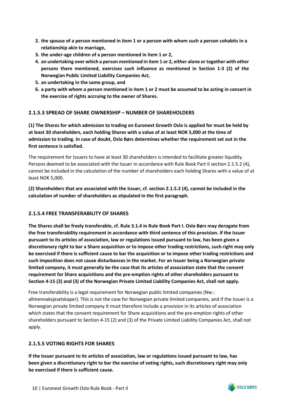- **2. the spouse of a person mentioned in item 1 or a person with whom such a person cohabits in a relationship akin to marriage,**
- **3. the under-age children of a person mentioned in item 1 or 2,**
- **4. an undertaking over which a person mentioned in item 1 or 2, either alone or together with other persons there mentioned, exercises such influence as mentioned in Section 1-3 (2) of the Norwegian Public Limited Liability Companies Act,**
- **5. an undertaking in the same group, and**
- **6. a party with whom a person mentioned in item 1 or 2 must be assumed to be acting in concert in the exercise of rights accruing to the owner of Shares.**

## <span id="page-12-0"></span>**2.1.5.3 SPREAD OF SHARE OWNERSHIP – NUMBER OF SHAREHOLDERS**

**(1) The Shares for which admission to trading on Euronext Growth Oslo is applied for must be held by at least 30 shareholders, each holding Shares with a value of at least NOK 5,000 at the time of admission to trading. In case of doubt, Oslo Børs determines whether the requirement set out in the first sentence is satisfied.**

The requirement for Issuers to have at least 30 shareholders is intended to facilitate greater liquidity. Persons deemed to be associated with the Issuer in accordance with Rule Book Part II section 2.1.5.2 (4), cannot be included in the calculation of the number of shareholders each holding Shares with a value of at least NOK 5,000.

**(2) Shareholders that are associated with the Issuer, cf. section 2.1.5.2 (4), cannot be included in the calculation of number of shareholders as stipulated in the first paragraph.**

#### <span id="page-12-1"></span>**2.1.5.4 FREE TRANSFERABILITY OF SHARES**

**The Shares shall be freely transferable, cf. Rule 3.1.4 in Rule Book Part I. Oslo Børs may derogate from the free transferability requirement in accordance with third sentence of this provision. If the Issuer pursuant to its articles of association, law or regulations issued pursuant to law, has been given a discretionary right to bar a Share acquisition or to impose other trading restrictions, such right may only be exercised if there is sufficient cause to bar the acquisition or to impose other trading restrictions and such imposition does not cause disturbances in the market. For an Issuer being a Norwegian private limited company, it must generally be the case that its articles of association state that the consent requirement for Share acquisitions and the pre-emption rights of other shareholders pursuant to Section 4-15 (2) and (3) of the Norwegian Private Limited Liability Companies Act, shall not apply.**

Free transferability is a legal requirement for Norwegian public limited companies (Nw.: allmennaksjeselskaper). This is not the case for Norwegian private limited companies, and if the Issuer is a Norwegian private limited company it must therefore include a provision in its articles of association which states that the consent requirement for Share acquisitions and the pre-emption rights of other shareholders pursuant to Section 4-15 (2) and (3) of the Private Limited Liability Companies Act, shall not apply.

#### <span id="page-12-2"></span>**2.1.5.5 VOTING RIGHTS FOR SHARES**

**If the Issuer pursuant to its articles of association, law or regulations issued pursuant to law, has been given a discretionary right to bar the exercise of voting rights, such discretionary right may only be exercised if there is sufficient cause.**

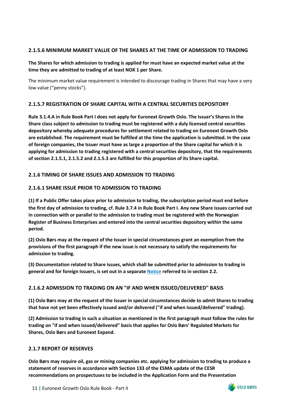## <span id="page-13-0"></span>**2.1.5.6 MINIMUM MARKET VALUE OF THE SHARES AT THE TIME OF ADMISSION TO TRADING**

**The Shares for which admission to trading is applied for must have an expected market value at the time they are admitted to trading of at least NOK 1 per Share.**

The minimum market value requirement is intended to discourage trading in Shares that may have a very low value ("penny stocks").

## <span id="page-13-1"></span>**2.1.5.7 REGISTRATION OF SHARE CAPITAL WITH A CENTRAL SECURITIES DEPOSITORY**

**Rule 3.1.4.A in Rule Book Part I does not apply for Euronext Growth Oslo. The Issuer's Shares in the Share class subject to admission to trading must be registered with a duly licensed central securities depository whereby adequate procedures for settlement related to trading on Euronext Growth Oslo are established. The requirement must be fulfilled at the time the application is submitted. In the case of foreign companies, the Issuer must have as large a proportion of the Share capital for which it is applying for admission to trading registered with a central securities depository, that the requirements of section 2.1.5.1, 2.1.5.2 and 2.1.5.3 are fulfilled for this proportion of its Share capital.**

## <span id="page-13-2"></span>**2.1.6 TIMING OF SHARE ISSUES AND ADMISSION TO TRADING**

## **2.1.6.1 SHARE ISSUE PRIOR TO ADMISSION TO TRADING**

**(1) If a Public Offer takes place prior to admission to trading, the subscription period must end before the first day of admission to trading, cf. Rule 3.7.4 in Rule Book Part I. Any new Share issues carried out in connection with or parallel to the admission to trading must be registered with the Norwegian Register of Business Enterprises and entered into the central securities depository within the same period.**

**(2) Oslo Børs may at the request of the Issuer in special circumstances grant an exemption from the provisions of the first paragraph if the new issue is not necessary to satisfy the requirements for admission to trading.**

**(3) Documentation related to Share issues, which shall be submitted prior to admission to trading in general and for foreign Issuers, is set out in a separate [Notice](https://www.euronext.com/en/media/6353/download) referred to in section 2.2.**

## <span id="page-13-3"></span>**2.1.6.2 ADMISSION TO TRADING ON AN "IF AND WHEN ISSUED/DELIVERED" BASIS**

**(1) Oslo Børs may at the request of the Issuer in special circumstances decide to admit Shares to trading that have not yet been effectively issued and/or delivered ("if and when issued/delivered" trading).**

**(2) Admission to trading in such a situation as mentioned in the first paragraph must follow the rules for trading on "if and when issued/delivered" basis that applies for Oslo Børs' Regulated Markets for Shares, Oslo Børs and Euronext Expand.**

## <span id="page-13-4"></span>**2.1.7 REPORT OF RESERVES**

**Oslo Børs may require oil, gas or mining companies etc. applying for admission to trading to produce a statement of reserves in accordance with Section 133 of the ESMA update of the CESR recommendations on prospectuses to be included in the Application Form and the Presentation** 

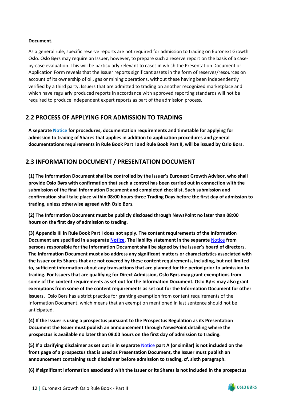### **Document.**

As a general rule, specific reserve reports are not required for admission to trading on Euronext Growth Oslo. Oslo Børs may require an Issuer, however, to prepare such a reserve report on the basis of a caseby-case evaluation. This will be particularly relevant to cases in which the Presentation Document or Application Form reveals that the Issuer reports significant assets in the form of reserves/resources on account of its ownership of oil, gas or mining operations, without these having been independently verified by a third party. Issuers that are admitted to trading on another recognized marketplace and which have regularly produced reports in accordance with approved reporting standards will not be required to produce independent expert reports as part of the admission process.

# <span id="page-14-0"></span>**2.2 PROCESS OF APPLYING FOR ADMISSION TO TRADING**

**A separat[e Notice](https://www.euronext.com/en/media/6353/download) for procedures, documentation requirements and timetable for applying for admission to trading of Shares that applies in addition to application procedures and general documentations requirements in Rule Book Part I and Rule Book Part II, will be issued by Oslo Børs.**

# <span id="page-14-1"></span>**2.3 INFORMATION DOCUMENT / PRESENTATION DOCUMENT**

**(1) The Information Document shall be controlled by the Issuer's Euronext Growth Advisor, who shall provide Oslo Børs with confirmation that such a control has been carried out in connection with the submission of the final Information Document and completed checklist. Such submission and confirmation shall take place within 08:00 hours three Trading Days before the first day of admission to trading, unless otherwise agreed with Oslo Børs.**

**(2) The Information Document must be publicly disclosed through NewsPoint no later than 08:00 hours on the first day of admission to trading.**

**(3) Appendix III in Rule Book Part I does not apply. The content requirements of the Information Document are specified in a separate [Notice.](https://www.euronext.com/en/media/6354/download) The liability statement in the separate** [Notice](https://www.euronext.com/en/media/6354/download) **from persons responsible for the Information Document shall be signed by the Issuer's board of directors. The Information Document must also address any significant matters or characteristics associated with the Issuer or its Shares that are not covered by these content requirements, including, but not limited to, sufficient information about any transactions that are planned for the period prior to admission to trading. For Issuers that are qualifying for Direct Admission, Oslo Børs may grant exemptions from some of the content requirements as set out for the Information Document. Oslo Børs may also grant exemptions from some of the content requirements as set out for the Information Document for other Issuers.** Oslo Børs has a strict practice for granting exemption from content requirements of the Information Document, which means that an exemption mentioned in last sentence should not be anticipated.

**(4) If the Issuer is using a prospectus pursuant to the Prospectus Regulation as its Presentation Document the Issuer must publish an announcement through NewsPoint detailing where the prospectus is available no later than 08:00 hours on the first day of admission to trading.**

**(5) If a clarifying disclaimer as set out in in separate** [Notice](https://www.euronext.com/en/media/6354/download) **part A (or similar) is not included on the front page of a prospectus that is used as Presentation Document, the Issuer must publish an announcement containing such disclaimer before admission to trading, cf. sixth paragraph.**

**(6) If significant information associated with the Issuer or its Shares is not included in the prospectus** 

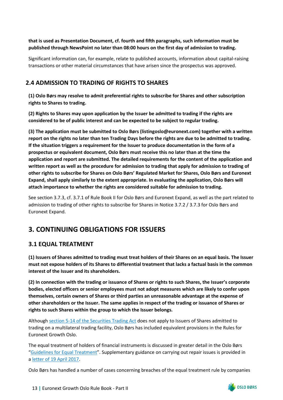## **that is used as Presentation Document, cf. fourth and fifth paragraphs, such information must be published through NewsPoint no later than 08:00 hours on the first day of admission to trading.**

Significant information can, for example, relate to published accounts, information about capital-raising transactions or other material circumstances that have arisen since the prospectus was approved.

# <span id="page-15-0"></span>**2.4 ADMISSION TO TRADING OF RIGHTS TO SHARES**

**(1) Oslo Børs may resolve to admit preferential rights to subscribe for Shares and other subscription rights to Shares to trading.**

**(2) Rights to Shares may upon application by the Issuer be admitted to trading if the rights are considered to be of public interest and can be expected to be subject to regular trading.**

**(3) The application must be submitted to Oslo Børs (listingoslo@euronext.com) together with a written report on the rights no later than ten Trading Days before the rights are due to be admitted to trading. If the situation triggers a requirement for the Issuer to produce documentation in the form of a prospectus or equivalent document, Oslo Børs must receive this no later than at the time the application and report are submitted. The detailed requirements for the content of the application and written report as well as the procedure for admission to trading that apply for admission to trading of other rights to subscribe for Shares on Oslo Børs' Regulated Market for Shares, Oslo Børs and Euronext Expand, shall apply similarly to the extent appropriate. In evaluating the application, Oslo Børs will attach importance to whether the rights are considered suitable for admission to trading.**

See section 3.7.3, cf. 3.7.1 of Rule Book II for Oslo Børs and Euronext Expand, as well as the part related to admission to trading of other rights to subscribe for Shares in Notice 3.7.2 / 3.7.3 for Oslo Børs and Euronext Expand.

# <span id="page-15-1"></span>**3. CONTINUING OBLIGATIONS FOR ISSUERS**

# <span id="page-15-2"></span>**3.1 EQUAL TREATMENT**

**(1) Issuers of Shares admitted to trading must treat holders of their Shares on an equal basis. The Issuer must not expose holders of its Shares to differential treatment that lacks a factual basis in the common interest of the Issuer and its shareholders.**

**(2) In connection with the trading or issuance of Shares or rights to such Shares, the Issuer's corporate bodies, elected officers or senior employees must not adopt measures which are likely to confer upon themselves, certain owners of Shares or third parties an unreasonable advantage at the expense of other shareholders or the Issuer. The same applies in respect of the trading or issuance of Shares or rights to such Shares within the group to which the Issuer belongs.**

Although [section 5-14 of the Securities Trading Act](https://www.finanstilsynet.no/globalassets/laws-and-regulations/laws/securities-trading-act.pdf) does not apply to Issuers of Shares admitted to trading on a multilateral trading facility, Oslo Børs has included equivalent provisions in the Rules for Euronext Growth Oslo.

The equal treatment of holders of financial instruments is discussed in greater detail in the Oslo Børs ["Guidelines for Equal Treatment"](https://www.euronext.com/en/media/6602/download). Supplementary guidance on carrying out repair issues is provided in a [letter of 19 April 2017.](https://www.euronext.com/sites/default/files/2020-09/2017-04-19%20-%20Guidance%20relating%20to%20carrying%20out%20repair%20issues.pdf)

Oslo Børs has handled a number of cases concerning breaches of the equal treatment rule by companies

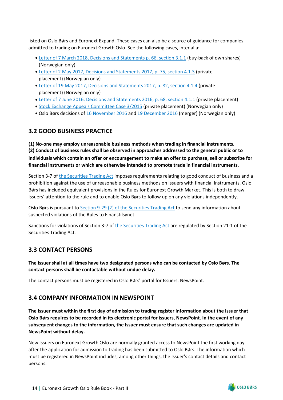listed on Oslo Børs and Euronext Expand. These cases can also be a source of guidance for companies admitted to trading on Euronext Growth Oslo. See the following cases, inter alia:

- [Letter of 7 March 2018, Decisions and Statements p. 66, section 3.1.1](https://www.euronext.com/sites/default/files/2020-09/Decisions%20and%20statements%202018.pdf) (buy-back of own shares) (Norwegian only)
- [Letter of 2 May 2017, Decisions and Statements 2017, p. 75, section 4.1.3](https://www.euronext.com/sites/default/files/2020-09/Circulars%2C%20decisions%20and%20statements%202017.pdf) (private placement) (Norwegian only)
- [Letter of 19 May 2017, Decisions and Statements 2017, p. 82, section 4.1.4](https://www.euronext.com/sites/default/files/2020-09/Circulars%2C%20decisions%20and%20statements%202017.pdf) (private placement) (Norwegian only)
- [Letter of 7 June 2016, Decisions and Statements 2016, p. 68, section 4.1.1](https://www.euronext.com/sites/default/files/2020-09/Circulars%2C%20decisions%20and%20statements%202016.pdf) (private placement)
- [Stock Exchange Appeals Committee Case 3/2015](https://www.euronext.com/sites/default/files/2020-10/B%C3%B8rsklagenemndens%20avgj%C3%B8relse%203-2015%20-%20SpareBank1%20%C3%98stfold%20Akershus.pdf) (private placement) (Norwegian only)
- Oslo Børs decisions of [16 November 2016](https://www.euronext.com/sites/default/files/2020-10/2016-11-16%20REM%20Offshore%20ASA%20-%20Overtredelse%20av%20l%C3%B8pende%20forpliktelser%20pkt.%202.1%20om%20likebehandling.pdf) and [19 December 2016](https://www.euronext.com/sites/default/files/2020-10/2016-12-19%20-%20Rem%20Offshore%20-%20vedtak%2019%2012%202016_offentlig%20versjon.pdf) (merger) (Norwegian only)

# <span id="page-16-0"></span>**3.2 GOOD BUSINESS PRACTICE**

**(1) No-one may employ unreasonable business methods when trading in financial instruments. (2) Conduct of business rules shall be observed in approaches addressed to the general public or to individuals which contain an offer or encouragement to make an offer to purchase, sell or subscribe for financial instruments or which are otherwise intended to promote trade in financial instruments.**

Section 3-7 of [the Securities Trading Act](https://www.finanstilsynet.no/globalassets/laws-and-regulations/laws/securities-trading-act.pdf) imposes requirements relating to good conduct of business and a prohibition against the use of unreasonable business methods on Issuers with financial instruments. Oslo Børs has included equivalent provisions in the Rules for Euronext Growth Market. This is both to draw Issuers' attention to the rule and to enable Oslo Børs to follow up on any violations independently.

Oslo Børs is pursuant to [Section 9-29 \(2\) of the Securities Trading Act](https://www.finanstilsynet.no/globalassets/laws-and-regulations/laws/securities-trading-act.pdf) to send any information about suspected violations of the Rules to Finanstilsynet.

Sanctions for violations of Section 3-7 of [the Securities Trading Act](https://www.finanstilsynet.no/globalassets/laws-and-regulations/laws/securities-trading-act.pdf) are regulated by Section 21-1 of the Securities Trading Act.

# <span id="page-16-1"></span>**3.3 CONTACT PERSONS**

**The Issuer shall at all times have two designated persons who can be contacted by Oslo Børs. The contact persons shall be contactable without undue delay.**

The contact persons must be registered in Oslo Børs' portal for Issuers, NewsPoint.

# <span id="page-16-2"></span>**3.4 COMPANY INFORMATION IN NEWSPOINT**

**The Issuer must within the first day of admission to trading register information about the Issuer that Oslo Børs requires to be recorded in its electronic portal for issuers, NewsPoint. In the event of any subsequent changes to the information, the Issuer must ensure that such changes are updated in NewsPoint without delay.**

New Issuers on Euronext Growth Oslo are normally granted access to NewsPoint the first working day after the application for admission to trading has been submitted to Oslo Børs. The information which must be registered in NewsPoint includes, among other things, the Issuer's contact details and contact persons.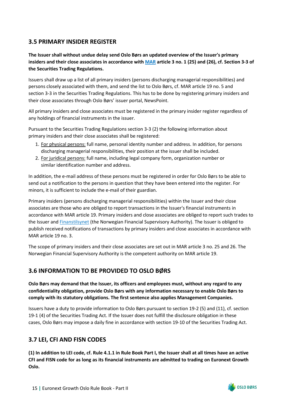# <span id="page-17-0"></span>**3.5 PRIMARY INSIDER REGISTER**

**The Issuer shall without undue delay send Oslo Børs an updated overview of the Issuer's primary insiders and their close associates in accordance with [MAR](https://eur-lex.europa.eu/legal-content/EN/TXT/PDF/?uri=CELEX%3A32014R0596&from=EN) article 3 no. 1 (25) and (26), cf. Section 3-3 of the Securities Trading Regulations.**

Issuers shall draw up a list of all primary insiders (persons discharging managerial responsibilities) and persons closely associated with them, and send the list to Oslo Børs, cf. MAR article 19 no. 5 and section 3-3 in the Securities Trading Regulations. This has to be done by registering primary insiders and their close associates through Oslo Børs' issuer portal, NewsPoint.

All primary insiders and close associates must be registered in the primary insider register regardless of any holdings of financial instruments in the issuer.

Pursuant to the Securities Trading Regulations section 3-3 (2) the following information about primary insiders and their close associates shall be registered:

- 1. For physical persons: full name, personal identity number and address. In addition, for persons discharging managerial responsibilities, their position at the issuer shall be included.
- 2. For juridical persons: full name, including legal company form, organization number or similar identification number and address.

In addition, the e-mail address of these persons must be registered in order for Oslo Børs to be able to send out a notification to the persons in question that they have been entered into the register. For minors, it is sufficient to include the e-mail of their guardian.

Primary insiders (persons discharging managerial responsibilities) within the Issuer and their close associates are those who are obliged to report transactions in the Issuer's financial instruments in accordance with MAR article 19. Primary insiders and close associates are obliged to report such trades to the Issuer an[d Finanstilsynet](https://www.finanstilsynet.no/rapportering/fellesrapporteringer/mar-meldeplikt-for-handler-av-personer-med-ledelsesansvar-primarinnsidere-og-deres-narstaende/) (the Norwegian Financial Supervisory Authority). The Issuer is obliged to publish received notifications of transactions by primary insiders and close associates in accordance with MAR article 19 no. 3.

The scope of primary insiders and their close associates are set out in MAR article 3 no. 25 and 26. The Norwegian Financial Supervisory Authority is the competent authority on MAR article 19.

# <span id="page-17-1"></span>**3.6 INFORMATION TO BE PROVIDED TO OSLO BØRS**

**Oslo Børs may demand that the Issuer, its officers and employees must, without any regard to any confidentiality obligation, provide Oslo Børs with any information necessary to enable Oslo Børs to comply with its statutory obligations. The first sentence also applies Management Companies.**

Issuers have a duty to provide information to Oslo Børs pursuant to section 19-2 (5) and (11), cf. section 19-1 (4) of the Securities Trading Act. If the Issuer does not fulfill the disclosure obligation in these cases, Oslo Børs may impose a daily fine in accordance with section 19-10 of the Securities Trading Act.

# <span id="page-17-2"></span>**3.7 LEI, CFI AND FISN CODES**

**(1) In addition to LEI code, cf. Rule 4.1.1 in Rule Book Part I, the Issuer shall at all times have an active CFI and FISN code for as long as its financial instruments are admitted to trading on Euronext Growth Oslo.**

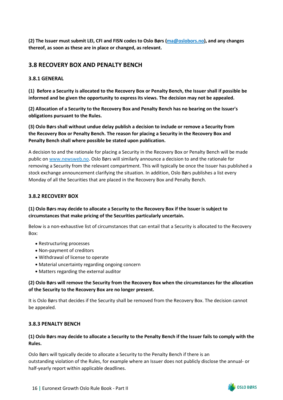**(2) The Issuer must submit LEI, CFI and FISN codes to Oslo Børs [\(ma@oslobors.no\)](mailto:ma@oslobors.no), and any changes thereof, as soon as these are in place or changed, as relevant.**

## <span id="page-18-0"></span>**3.8 RECOVERY BOX AND PENALTY BENCH**

## <span id="page-18-1"></span>**3.8.1 GENERAL**

**(1) Before a Security is allocated to the Recovery Box or Penalty Bench, the Issuer shall if possible be informed and be given the opportunity to express its views. The decision may not be appealed.**

**(2) Allocation of a Security to the Recovery Box and Penalty Bench has no bearing on the Issuer's obligations pursuant to the Rules.**

**(3) Oslo Børs shall without undue delay publish a decision to include or remove a Security from the Recovery Box or Penalty Bench. The reason for placing a Security in the Recovery Box and Penalty Bench shall where possible be stated upon publication.**

A decision to and the rationale for placing a Security in the Recovery Box or Penalty Bench will be made public o[n www.newsweb.no.](http://www.newsweb.no/) Oslo Børs will similarly announce a decision to and the rationale for removing a Security from the relevant compartment. This will typically be once the Issuer has published a stock exchange announcement clarifying the situation. In addition, Oslo Børs publishes a list every Monday of all the Securities that are placed in the Recovery Box and Penalty Bench.

### <span id="page-18-2"></span>**3.8.2 RECOVERY BOX**

## **(1) Oslo Børs may decide to allocate a Security to the Recovery Box if the Issuer is subject to circumstances that make pricing of the Securities particularly uncertain.**

Below is a non-exhaustive list of circumstances that can entail that a Security is allocated to the Recovery Box:

- Restructuring processes
- Non-payment of creditors
- Withdrawal of license to operate
- Material uncertainty regarding ongoing concern
- Matters regarding the external auditor

**(2) Oslo Børs will remove the Security from the Recovery Box when the circumstances for the allocation of the Security to the Recovery Box are no longer present.**

It is Oslo Børs that decides if the Security shall be removed from the Recovery Box. The decision cannot be appealed.

#### <span id="page-18-3"></span>**3.8.3 PENALTY BENCH**

## **(1) Oslo Børs may decide to allocate a Security to the Penalty Bench if the Issuer fails to comply with the Rules.**

Oslo Børs will typically decide to allocate a Security to the Penalty Bench if there is an outstanding violation of the Rules, for example where an Issuer does not publicly disclose the annual- or half-yearly report within applicable deadlines.

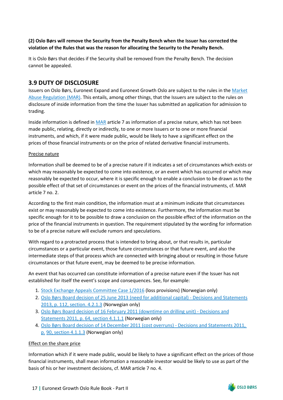## **(2) Oslo Børs will remove the Security from the Penalty Bench when the Issuer has corrected the violation of the Rules that was the reason for allocating the Security to the Penalty Bench.**

It is Oslo Børs that decides if the Security shall be removed from the Penalty Bench. The decision cannot be appealed.

## <span id="page-19-0"></span>**3.9 DUTY OF DISCLOSURE**

Issuers on Oslo Børs, Euronext Expand and Euronext Growth Oslo are subject to the rules in the [Market](https://eur-lex.europa.eu/legal-content/EN/TXT/PDF/?uri=CELEX%3A32014R0596&from=EN) [Abuse Regulation \(MAR\).](https://eur-lex.europa.eu/legal-content/EN/TXT/PDF/?uri=CELEX%3A32014R0596&from=EN) This entails, among other things, that the Issuers are subject to the rules on disclosure of inside information from the time the Issuer has submitted an application for admission to trading.

Inside information is defined in [MAR](https://eur-lex.europa.eu/legal-content/EN/TXT/PDF/?uri=CELEX%3A32014R0596&from=EN) article 7 as information of a precise nature, which has not been made public, relating, directly or indirectly, to one or more Issuers or to one or more financial instruments, and which, if it were made public, would be likely to have a significant effect on the prices of those financial instruments or on the price of related derivative financial instruments.

### Precise nature

Information shall be deemed to be of a precise nature if it indicates a set of circumstances which exists or which may reasonably be expected to come into existence, or an event which has occurred or which may reasonably be expected to occur, where it is specific enough to enable a conclusion to be drawn as to the possible effect of that set of circumstances or event on the prices of the financial instruments, cf. MAR article 7 no. 2.

According to the first main condition, the information must at a minimum indicate that circumstances exist or may reasonably be expected to come into existence. Furthermore, the information must be specific enough for it to be possible to draw a conclusion on the possible effect of the information on the price of the financial instruments in question. The requirement stipulated by the wording for information to be of a precise nature will exclude rumors and speculations.

With regard to a protracted process that is intended to bring about, or that results in, particular circumstances or a particular event, those future circumstances or that future event, and also the intermediate steps of that process which are connected with bringing about or resulting in those future circumstances or that future event, may be deemed to be precise information.

An event that has occurred can constitute information of a precise nature even if the Issuer has not established for itself the event's scope and consequences. See, for example:

- 1. [Stock Exchange Appeals Committee Case 1/2016](https://www.euronext.com/sites/default/files/2020-10/B%C3%B8rsklagenemndens%20vedtak%201-2016%20-%20Sandnes%20Sparebank.pdf) (loss provisions) (Norwegian only)
- 2. [Oslo Børs Board decision of 25 June 2013 \(need for additional capital\) Decisions and Statements](https://www.euronext.com/sites/default/files/2020-09/Circulars%2C%20decisions%20and%20statements%202013.pdf) [2013, p. 112, section. 4.2.1.3](https://www.euronext.com/sites/default/files/2020-09/Circulars%2C%20decisions%20and%20statements%202013.pdf) (Norwegian only)
- 3. [Oslo Børs Board decision of 16 February 2011 \(downtime on drilling unit\) Decisions and](https://www.euronext.com/sites/default/files/2020-09/Circulars%2C%20decisions%20and%20statements%202011.pdf) [Statements 2011, p. 64, section 4.1.1.1](https://www.euronext.com/sites/default/files/2020-09/Circulars%2C%20decisions%20and%20statements%202011.pdf) (Norwegian only)
- 4. [Oslo Børs Board decision of 14 December 2011 \(cost overruns\) Decisions and Statements 2011,](https://www.euronext.com/sites/default/files/2020-09/Circulars%2C%20decisions%20and%20statements%202011.pdf)  [p.](https://www.euronext.com/sites/default/files/2020-09/Circulars%2C%20decisions%20and%20statements%202011.pdf) [90, section 4.1.1.3](https://www.euronext.com/sites/default/files/2020-09/Circulars%2C%20decisions%20and%20statements%202011.pdf) (Norwegian only)

## Effect on the share price

Information which if it were made public, would be likely to have a significant effect on the prices of those financial instruments, shall mean information a reasonable investor would be likely to use as part of the basis of his or her investment decisions, cf. MAR article 7 no. 4.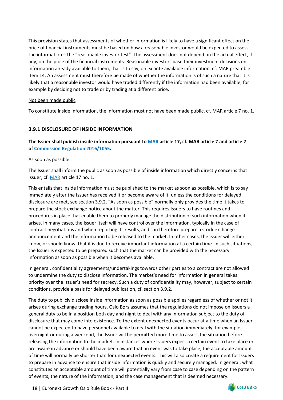This provision states that assessments of whether information is likely to have a significant effect on the price of financial instruments must be based on how a reasonable investor would be expected to assess the information – the "reasonable investor test". The assessment does not depend on the actual effect, if any, on the price of the financial instruments. Reasonable investors base their investment decisions on information already available to them, that is to say, on ex ante available information, cf. MAR preamble item 14. An assessment must therefore be made of whether the information is of such a nature that it is likely that a reasonable investor would have traded differently if the information had been available, for example by deciding not to trade or by trading at a different price.

#### Not been made public

To constitute inside information, the information must not have been made public, cf. MAR article 7 no. 1.

## <span id="page-20-0"></span>**3.9.1 DISCLOSURE OF INSIDE INFORMATION**

**The Issuer shall publish inside information pursuant to [MAR](https://eur-lex.europa.eu/legal-content/EN/TXT/PDF/?uri=CELEX%3A32014R0596&from=EN) article 17, cf. MAR article 7 and article 2 of [Commission Regulation 2016/1055.](https://eur-lex.europa.eu/legal-content/EN/TXT/PDF/?uri=CELEX%3A32016R1055&from=EN)** 

### As soon as possible

The Issuer shall inform the public as soon as possible of inside information which directly concerns that Issuer, cf. [MAR](https://eur-lex.europa.eu/legal-content/EN/TXT/PDF/?uri=CELEX%3A32014R0596&from=EN) article 17 no. 1.

This entails that inside information must be published to the market as soon as possible, which is to say immediately after the Issuer has received it or become aware of it, unless the conditions for delayed disclosure are met, see section 3.9.2. "As soon as possible" normally only provides the time it takes to prepare the stock exchange notice about the matter. This requires Issuers to have routines and procedures in place that enable them to properly manage the distribution of such information when it arises. In many cases, the Issuer itself will have control over the information, typically in the case of contract negotiations and when reporting its results, and can therefore prepare a stock exchange announcement and the information to be released to the market. In other cases, the Issuer will either know, or should know, that it is due to receive important information at a certain time. In such situations, the Issuer is expected to be prepared such that the market can be provided with the necessary information as soon as possible when it becomes available.

In general, confidentiality agreements/undertakings towards other parties to a contract are not allowed to undermine the duty to disclose information. The market's need for information in general takes priority over the Issuer's need for secrecy. Such a duty of confidentiality may, however, subject to certain conditions, provide a basis for delayed publication, cf. section 3.9.2.

The duty to publicly disclose inside information as soon as possible applies regardless of whether or not it arises during exchange trading hours. Oslo Børs assumes that the regulations do not impose on Issuers a general duty to be in a position both day and night to deal with any information subject to the duty of disclosure that may come into existence. To the extent unexpected events occur at a time when an Issuer cannot be expected to have personnel available to deal with the situation immediately, for example overnight or during a weekend, the Issuer will be permitted more time to assess the situation before releasing the information to the market. In instances where Issuers expect a certain event to take place or are aware in advance or should have been aware that an event was to take place, the acceptable amount of time will normally be shorter than for unexpected events. This will also create a requirement for Issuers to prepare in advance to ensure that inside information is quickly and securely managed. In general, what constitutes an acceptable amount of time will potentially vary from case to case depending on the pattern of events, the nature of the information, and the case management that is deemed necessary.

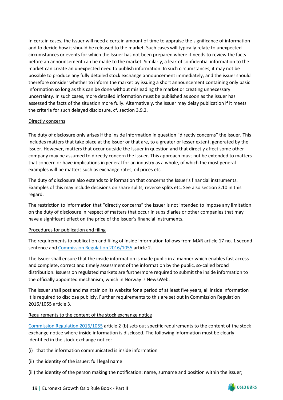In certain cases, the Issuer will need a certain amount of time to appraise the significance of information and to decide how it should be released to the market. Such cases will typically relate to unexpected circumstances or events for which the Issuer has not been prepared where it needs to review the facts before an announcement can be made to the market. Similarly, a leak of confidential information to the market can create an unexpected need to publish information. In such circumstances, it may not be possible to produce any fully detailed stock exchange announcement immediately, and the issuer should therefore consider whether to inform the market by issuing a short announcement containing only basic information so long as this can be done without misleading the market or creating unnecessary uncertainty. In such cases, more detailed information must be published as soon as the issuer has assessed the facts of the situation more fully. Alternatively, the Issuer may delay publication if it meets the criteria for such delayed disclosure, cf. section 3.9.2.

#### Directly concerns

The duty of disclosure only arises if the inside information in question "directly concerns" the Issuer. This includes matters that take place at the Issuer or that are, to a greater or lesser extent, generated by the Issuer. However, matters that occur outside the Issuer in question and that directly affect some other company may be assumed to directly concern the Issuer. This approach must not be extended to matters that concern or have implications in general for an industry as a whole, of which the most general examples will be matters such as exchange rates, oil prices etc.

The duty of disclosure also extends to information that concerns the Issuer's financial instruments. Examples of this may include decisions on share splits, reverse splits etc. See also section 3.10 in this regard.

The restriction to information that "directly concerns" the Issuer is not intended to impose any limitation on the duty of disclosure in respect of matters that occur in subsidiaries or other companies that may have a significant effect on the price of the Issuer's financial instruments.

## Procedures for publication and filing

The requirements to publication and filing of inside information follows from MAR article 17 no. 1 second sentence an[d Commission Regulation 2016/1055](https://eur-lex.europa.eu/legal-content/EN/TXT/PDF/?uri=CELEX%3A32016R1055&from=EN) article 2.

The Issuer shall ensure that the inside information is made public in a manner which enables fast access and complete, correct and timely assessment of the information by the public, so-called broad distribution. Issuers on regulated markets are furthermore required to submit the inside information to the officially appointed mechanism, which in Norway is NewsWeb.

The Issuer shall post and maintain on its website for a period of at least five years, all inside information it is required to disclose publicly. Further requirements to this are set out in Commission Regulation 2016/1055 article 3.

#### Requirements to the content of the stock exchange notice

[Commission Regulation 2016/1055](https://eur-lex.europa.eu/legal-content/EN/TXT/PDF/?uri=CELEX%3A32016R1055&from=EN) article 2 (b) sets out specific requirements to the content of the stock exchange notice where inside information is disclosed. The following information must be clearly identified in the stock exchange notice:

- (i) that the information communicated is inside information
- (ii) the identity of the issuer: full legal name
- (iii) the identity of the person making the notification: name, surname and position within the issuer;

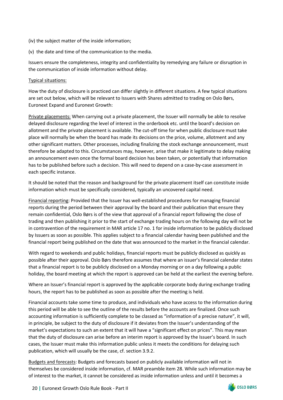- (iv) the subject matter of the inside information;
- (v) the date and time of the communication to the media.

Issuers ensure the completeness, integrity and confidentiality by remedying any failure or disruption in the communication of inside information without delay.

## Typical situations:

How the duty of disclosure is practiced can differ slightly in different situations. A few typical situations are set out below, which will be relevant to Issuers with Shares admitted to trading on Oslo Børs, Euronext Expand and Euronext Growth:

Private placements: When carrying out a private placement, the Issuer will normally be able to resolve delayed disclosure regarding the level of interest in the orderbook etc. until the board's decision on allotment and the private placement is available. The cut-off time for when public disclosure must take place will normally be when the board has made its decisions on the price, volume, allotment and any other significant matters. Other processes, including finalizing the stock exchange announcement, must therefore be adapted to this. Circumstances may, however, arise that make it legitimate to delay making an announcement even once the formal board decision has been taken, or potentially that information has to be published before such a decision. This will need to depend on a case-by-case assessment in each specific instance.

It should be noted that the reason and background for the private placement itself can constitute inside information which must be specifically considered, typically an uncovered capital need.

Financial reporting: Provided that the Issuer has well-established procedures for managing financial reports during the period between their approval by the board and their publication that ensure they remain confidential, Oslo Børs is of the view that approval of a financial report following the close of trading and then publishing it prior to the start of exchange trading hours on the following day will not be in contravention of the requirement in MAR article 17 no. 1 for inside information to be publicly disclosed by Issuers as soon as possible. This applies subject to a financial calendar having been published and the financial report being published on the date that was announced to the market in the financial calendar.

With regard to weekends and public holidays, financial reports must be publicly disclosed as quickly as possible after their approval. Oslo Børs therefore assumes that where an issuer's financial calendar states that a financial report is to be publicly disclosed on a Monday morning or on a day following a public holiday, the board meeting at which the report is approved can be held at the earliest the evening before.

Where an Issuer's financial report is approved by the applicable corporate body during exchange trading hours, the report has to be published as soon as possible after the meeting is held.

Financial accounts take some time to produce, and individuals who have access to the information during this period will be able to see the outline of the results before the accounts are finalized. Once such accounting information is sufficiently complete to be classed as "information of a precise nature", it will, in principle, be subject to the duty of disclosure if it deviates from the Issuer's understanding of the market's expectations to such an extent that it will have a "significant effect on prices". This may mean that the duty of disclosure can arise before an interim report is approved by the Issuer's board. In such cases, the Issuer must make this information public unless it meets the conditions for delaying such publication, which will usually be the case, cf. section 3.9.2.

Budgets and forecasts: Budgets and forecasts based on publicly available information will not in themselves be considered inside information, cf. MAR preamble item 28. While such information may be of interest to the market, it cannot be considered as inside information unless and until it becomes a

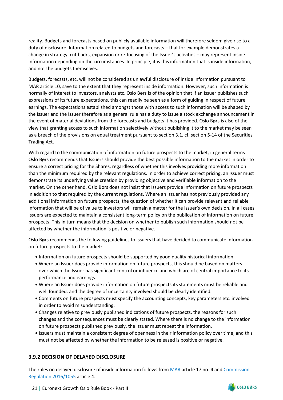reality. Budgets and forecasts based on publicly available information will therefore seldom give rise to a duty of disclosure. Information related to budgets and forecasts – that for example demonstrates a change in strategy, cut backs, expansion or re-focusing of the Issuer's activities – may represent inside information depending on the circumstances. In principle, it is this information that is inside information, and not the budgets themselves.

Budgets, forecasts, etc. will not be considered as unlawful disclosure of inside information pursuant to MAR article 10, save to the extent that they represent inside information. However, such information is normally of interest to investors, analysts etc. Oslo Børs is of the opinion that if an Issuer publishes such expressions of its future expectations, this can readily be seen as a form of guiding in respect of future earnings. The expectations established amongst those with access to such information will be shaped by the Issuer and the Issuer therefore as a general rule has a duty to issue a stock exchange announcement in the event of material deviations from the forecasts and budgets it has provided. Oslo Børs is also of the view that granting access to such information selectively without publishing it to the market may be seen as a breach of the provisions on equal treatment pursuant to section 3.1, cf. section 5-14 of the Securities Trading Act.

With regard to the communication of information on future prospects to the market, in general terms Oslo Børs recommends that Issuers should provide the best possible information to the market in order to ensure a correct pricing for the Shares, regardless of whether this involves providing more information than the minimum required by the relevant regulations. In order to achieve correct pricing, an Issuer must demonstrate its underlying value creation by providing objective and verifiable information to the market. On the other hand, Oslo Børs does not insist that Issuers provide information on future prospects in addition to that required by the current regulations. Where an Issuer has not previously provided any additional information on future prospects, the question of whether it can provide relevant and reliable information that will be of value to investors will remain a matter for the Issuer's own decision. In all cases Issuers are expected to maintain a consistent long-term policy on the publication of information on future prospects. This in turn means that the decision on whether to publish such information should not be affected by whether the information is positive or negative.

Oslo Børs recommends the following guidelines to Issuers that have decided to communicate information on future prospects to the market:

- Information on future prospects should be supported by good quality historical information.
- Where an Issuer does provide information on future prospects, this should be based on matters over which the Issuer has significant control or influence and which are of central importance to its performance and earnings.
- Where an Issuer does provide information on future prospects its statements must be reliable and well founded, and the degree of uncertainty involved should be clearly identified.
- Comments on future prospects must specify the accounting concepts, key parameters etc. involved in order to avoid misunderstanding.
- Changes relative to previously published indications of future prospects, the reasons for such changes and the consequences must be clearly stated. Where there is no change to the information on future prospects published previously, the Issuer must repeat the information.
- Issuers must maintain a consistent degree of openness in their information policy over time, and this must not be affected by whether the information to be released is positive or negative.

## <span id="page-23-0"></span>**3.9.2 DECISION OF DELAYED DISCLOSURE**

The rules on delayed disclosure of inside information follows from [MAR](https://eur-lex.europa.eu/legal-content/EN/TXT/PDF/?uri=CELEX%3A32014R0596&from=EN) article 17 no. 4 an[d Commission](https://eur-lex.europa.eu/legal-content/EN/TXT/PDF/?uri=CELEX%3A32016R1055&from=EN) [Regulation 2016/1055](https://eur-lex.europa.eu/legal-content/EN/TXT/PDF/?uri=CELEX%3A32016R1055&from=EN) article 4.

21 **|** Euronext Growth Oslo Rule Book - Part II

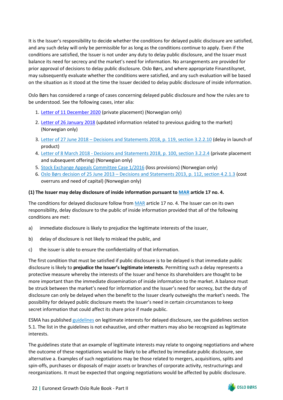It is the Issuer's responsibility to decide whether the conditions for delayed public disclosure are satisfied, and any such delay will only be permissible for as long as the conditions continue to apply. Even if the conditions are satisfied, the Issuer is not under any duty to delay public disclosure, and the Issuer must balance its need for secrecy and the market's need for information. No arrangements are provided for prior approval of decisions to delay public disclosure. Oslo Børs, and where appropriate Finanstilsynet, may subsequently evaluate whether the conditions were satisfied, and any such evaluation will be based on the situation as it stood at the time the Issuer decided to delay public disclosure of inside information.

Oslo Børs has considered a range of cases concerning delayed public disclosure and how the rules are to be understood. See the following cases, inter alia:

- 1. [Letter of 11 December 2020](https://www.euronext.com/sites/default/files/2020-12/Quantafuel%20ASA%20-%20Brudd%20p%C3%A5%20l%C3%B8pende%20informasjonsplikt.pdf) (private placement) (Norwegian only)
- 2. [Letter of 26 January 2018](https://www.euronext.com/sites/default/files/2020-10/2018-01-26%20Norwegian%20Air%20Shuttle%20ASA%20-%20Kritikk%20for%20brudd%20p%C3%A5%20informasjonsplikt.pdf) (updated information related to previous guiding to the market) (Norwegian only)
- 3. [Letter of 27 June 2018 Decisions and Statements 2018, p. 119, section 3.2.2.10](https://www.euronext.com/sites/default/files/2020-09/Decisions%20and%20statements%202018.pdf) (delay in launch of product)
- 4. [Letter of 8 March 2018 Decisions and Statements 2018, p. 100, section 3.2.2.4](https://www.euronext.com/sites/default/files/2020-09/Decisions%20and%20statements%202018.pdf) (private placement and subsequent offering) (Norwegian only)
- 5. [Stock Exchange Appeals Committee Case 1/2016](https://www.euronext.com/sites/default/files/2020-10/B%C3%B8rsklagenemndens%20vedtak%201-2016%20-%20Sandnes%20Sparebank.pdf) (loss provisions) (Norwegian only)
- 6. [Oslo Børs decision of 25 June 2013 Decisions and Statements 2013, p. 112, section 4.2.1.3](https://www.euronext.com/sites/default/files/2020-09/Circulars%2C%20decisions%20and%20statements%202013.pdf) (cost overruns and need of capital) (Norwegian only)

#### **(1) The Issuer may delay disclosure of inside information pursuant to [MAR](https://eur-lex.europa.eu/legal-content/EN/TXT/PDF/?uri=CELEX%3A32014R0596&from=EN) article 17 no. 4.**

The conditions for delayed disclosure follow fro[m MAR](https://eur-lex.europa.eu/legal-content/EN/TXT/PDF/?uri=CELEX%3A32014R0596&from=EN) article 17 no. 4. The Issuer can on its own responsibility, delay disclosure to the public of inside information provided that all of the following conditions are met:

- a) immediate disclosure is likely to prejudice the legitimate interests of the issuer,
- b) delay of disclosure is not likely to mislead the public, and
- c) the issuer is able to ensure the confidentiality of that information.

The first condition that must be satisfied if public disclosure is to be delayed is that immediate public disclosure is likely to **prejudice the Issuer's legitimate interests**. Permitting such a delay represents a protective measure whereby the interests of the Issuer and hence its shareholders are thought to be more important than the immediate dissemination of inside information to the market. A balance must be struck between the market's need for information and the Issuer's need for secrecy, but the duty of disclosure can only be delayed when the benefit to the Issuer clearly outweighs the market's needs. The possibility for delayed public disclosure meets the Issuer's need in certain circumstances to keep secret information that could affect its share price if made public.

ESMA has publishe[d guidelines](https://www.esma.europa.eu/sites/default/files/library/2016-1478_mar_guidelines_-_legitimate_interests.pdf) on legitimate interests for delayed disclosure, see the guidelines section 5.1. The list in the guidelines is not exhaustive, and other matters may also be recognized as legitimate interests.

The guidelines state that an example of legitimate interests may relate to ongoing negotiations and where the outcome of these negotiations would be likely to be affected by immediate public disclosure, see alternative a. Examples of such negotiations may be those related to mergers, acquisitions, splits and spin-offs, purchases or disposals of major assets or branches of corporate activity, restructurings and reorganizations. It must be expected that ongoing negotiations would be affected by public disclosure.

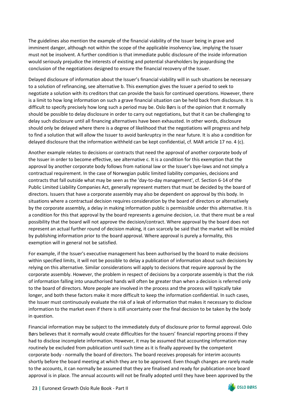The guidelines also mention the example of the financial viability of the Issuer being in grave and imminent danger, although not within the scope of the applicable insolvency law, implying the Issuer must not be insolvent. A further condition is that immediate public disclosure of the inside information would seriously prejudice the interests of existing and potential shareholders by jeopardising the conclusion of the negotiations designed to ensure the financial recovery of the Issuer.

Delayed disclosure of information about the Issuer's financial viability will in such situations be necessary to a solution of refinancing, see alternative b. This exemption gives the Issuer a period to seek to negotiate a solution with its creditors that can provide the basis for continued operations. However, there is a limit to how long information on such a grave financial situation can be held back from disclosure. It is difficult to specify precisely how long such a period may be. Oslo Børs is of the opinion that it normally should be possible to delay disclosure in order to carry out negotiations, but that it can be challenging to delay such disclosure until all financing alternatives have been exhausted. In other words, disclosure should only be delayed where there is a degree of likelihood that the negotiations will progress and help to find a solution that will allow the Issuer to avoid bankruptcy in the near future. It is also a condition for delayed disclosure that the information withheld can be kept confidential, cf. MAR article 17 no. 4 (c).

Another example relates to decisions or contracts that need the approval of another corporate body of the Issuer in order to become effective, see alternative c. It is a condition for this exemption that the approval by another corporate body follows from national law or the Issuer's bye-laws and not simply a contractual requirement. In the case of Norwegian public limited liability companies, decisions and contracts that fall outside what may be seen as the 'day-to-day management', cf. Section 6-14 of the Public Limited Liability Companies Act, generally represent matters that must be decided by the board of directors. Issuers that have a corporate assembly may also be dependent on approval by this body. In situations where a contractual decision requires consideration by the board of directors or alternatively by the corporate assembly, a delay in making information public is permissible under this alternative. It is a condition for this that approval by the board represents a genuine decision, i.e. that there must be a real possibility that the board will not approve the decision/contract. Where approval by the board does not represent an actual further round of decision making, it can scarcely be said that the market will be misled by publishing information prior to the board approval. Where approval is purely a formality, this exemption will in general not be satisfied.

For example, if the Issuer's executive management has been authorised by the board to make decisions within specified limits, it will not be possible to delay a publication of information about such decisions by relying on this alternative. Similar considerations will apply to decisions that require approval by the corporate assembly. However, the problem in respect of decisions by a corporate assembly is that the risk of information falling into unauthorised hands will often be greater than when a decision is referred only to the board of directors. More people are involved in the process and the process will typically take longer, and both these factors make it more difficult to keep the information confidential. In such cases, the Issuer must continuously evaluate the risk of a leak of information that makes it necessary to disclose information to the market even if there is still uncertainty over the final decision to be taken by the body in question.

Financial information may be subject to the immediately duty of disclosure prior to formal approval. Oslo Børs believes that it normally would create difficulties for the Issuers' financial reporting process if they had to disclose incomplete information. However, it may be assumed that accounting information may routinely be excluded from publication until such time as it is finally approved by the competent corporate body - normally the board of directors. The board receives proposals for interim accounts shortly before the board meeting at which they are to be approved. Even though changes are rarely made to the accounts, it can normally be assumed that they are finalised and ready for publication once board approval is in place. The annual accounts will not be finally adopted until they have been approved by the

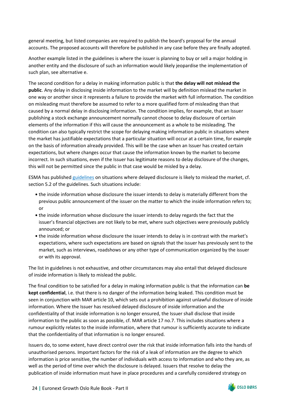general meeting, but listed companies are required to publish the board's proposal for the annual accounts. The proposed accounts will therefore be published in any case before they are finally adopted.

Another example listed in the guidelines is where the issuer is planning to buy or sell a major holding in another entity and the disclosure of such an information would likely jeopardise the implementation of such plan, see alternative e.

The second condition for a delay in making information public is that **the delay will not mislead the public**. Any delay in disclosing inside information to the market will by definition mislead the market in one way or another since it represents a failure to provide the market with full information. The condition on misleading must therefore be assumed to refer to a more qualified form of misleading than that caused by a normal delay in disclosing information. The condition implies, for example, that an Issuer publishing a stock exchange announcement normally cannot choose to delay disclosure of certain elements of the information if this will cause the announcement as a whole to be misleading. The condition can also typically restrict the scope for delaying making information public in situations where the market has justifiable expectations that a particular situation will occur at a certain time, for example on the basis of information already provided. This will be the case when an Issuer has created certain expectations, but where changes occur that cause the information known by the market to become incorrect. In such situations, even if the Issuer has legitimate reasons to delay disclosure of the changes, this will not be permitted since the public in that case would be misled by a delay.

ESMA has publishe[d guidelines](https://www.esma.europa.eu/sites/default/files/library/2016-1478_mar_guidelines_-_legitimate_interests.pdf) on situations where delayed disclosure is likely to mislead the market, cf. section 5.2 of the guidelines. Such situations include:

- the inside information whose disclosure the issuer intends to delay is materially different from the previous public announcement of the issuer on the matter to which the inside information refers to; or
- the inside information whose disclosure the issuer intends to delay regards the fact that the issuer's financial objectives are not likely to be met, where such objectives were previously publicly announced; or
- the inside information whose disclosure the issuer intends to delay is in contrast with the market's expectations, where such expectations are based on signals that the issuer has previously sent to the market, such as interviews, roadshows or any other type of communication organized by the issuer or with its approval.

The list in guidelines is not exhaustive, and other circumstances may also entail that delayed disclosure of inside information is likely to mislead the public.

The final condition to be satisfied for a delay in making information public is that the information can **be kept confidential**, i.e. that there is no danger of the information being leaked. This condition must be seen in conjunction with MAR article 10, which sets out a prohibition against unlawful disclosure of inside information. Where the Issuer has resolved delayed disclosure of inside information and the confidentiality of that inside information is no longer ensured, the Issuer shall disclose that inside information to the public as soon as possible, cf. MAR article 17 no.7. This includes situations where a rumour explicitly relates to the inside information, where that rumour is sufficiently accurate to indicate that the confidentiality of that information is no longer ensured.

Issuers do, to some extent, have direct control over the risk that inside information falls into the hands of unauthorised persons. Important factors for the risk of a leak of information are the degree to which information is price sensitive, the number of individuals with access to information and who they are, as well as the period of time over which the disclosure is delayed. Issuers that resolve to delay the publication of inside information must have in place procedures and a carefully considered strategy on

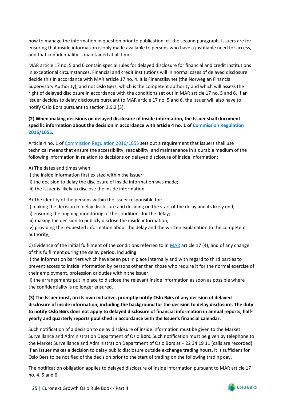how to manage the information in question prior to publication, cf. the second paragraph. Issuers are for ensuring that inside information is only made available to persons who have a justifiable need for access, and that confidentiality is maintained at all times.

MAR article 17 no. 5 and 6 contain special rules for delayed disclosure for financial and credit institutions in exceptional circumstances. Financial and credit institutions will in normal cases of delayed disclosure decide this in accordance with MAR article 17 no. 4. It is Finanstilsynet (the Norwegian Financial Supervisory Authority), and not Oslo Børs, which is the competent authority and which will assess the right of delayed disclosure in accordance with the conditions set out in MAR article 17 no. 5 and 6. If an Issuer decides to delay disclosure pursuant to MAR article 17 no. 5 and 6, the Issuer will also have to notify Oslo Børs pursuant to section 3.9.2 (3).

## **(2) When making decisions on delayed disclosure of inside information, the Issuer shall document specific information about the decision in accordance with article 4 no. 1 of [Commission Regulation](https://eur-lex.europa.eu/legal-content/EN/TXT/PDF/?uri=CELEX%3A32016R1055&from=EN) [2016/1055.](https://eur-lex.europa.eu/legal-content/EN/TXT/PDF/?uri=CELEX%3A32016R1055&from=EN)**

Article 4 no. 1 of [Commission Regulation 2016/1055](https://eur-lex.europa.eu/legal-content/EN/TXT/PDF/?uri=CELEX%3A32016R1055&from=EN) sets out a requirement that Issuers shall use technical means that ensure the accessibility, readability, and maintenance in a durable medium of the following information in relation to decisions on delayed disclosure of inside information:

A) The dates and times when:

i) the inside information first existed within the Issuer;

ii) the decision to delay the disclosure of inside information was made;

iii) the Issuer is likely to disclose the inside information;

B) The identity of the persons within the Issuer responsible for:

i) making the decision to delay disclosure and deciding on the start of the delay and its likely end;

ii) ensuring the ongoing monitoring of the conditions for the delay;

iii) making the decision to publicly disclose the inside information;

iv) providing the requested information about the delay and the written explanation to the competent authority;

C) Evidence of the initial fulfilment of the conditions referred to in [MAR](https://eur-lex.europa.eu/legal-content/EN/TXT/PDF/?uri=CELEX%3A32014R0596&from=EN) article 17 (4), and of any change of this fulfilment during the delay period, including:

i) the information barriers which have been put in place internally and with regard to third parties to prevent access to inside information by persons other than those who require it for the normal exercise of their employment, profession or duties within the issuer;

ii) the arrangements put in place to disclose the relevant inside information as soon as possible where the confidentiality is no longer ensured.

## **(3) The Issuer must, on its own initiative, promptly notify Oslo Børs of any decision of delayed disclosure of inside information, including the background for the decision to delay disclosure. The duty to notify Oslo Børs does not apply to delayed disclosure of financial information in annual reports, halfyearly and quarterly reports published in accordance with the Issuer's financial calendar.**

Such notification of a decision to delay disclosure of inside information must be given to the Market Surveillance and Administration Department of Oslo Børs. Such notification must be given by telephone to the Market Surveillance and Administration Department of Oslo Børs at + 22 34 19 11 (calls are recorded). If an Issuer makes a decision to delay public disclosure outside exchange trading hours, it is sufficient for Oslo Børs to be notified of the decision prior to the start of trading on the following trading day.

The notification obligation applies to delayed disclosure of inside information pursuant to MAR article 17 no. 4, 5 and 6.

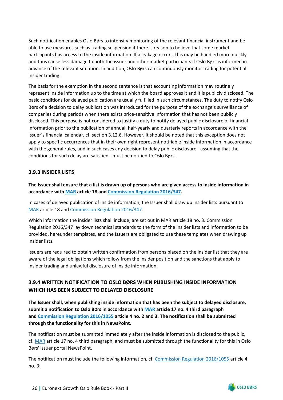Such notification enables Oslo Børs to intensify monitoring of the relevant financial instrument and be able to use measures such as trading suspension if there is reason to believe that some market participants has access to the inside information. If a leakage occurs, this may be handled more quickly and thus cause less damage to both the issuer and other market participants if Oslo Børs is informed in advance of the relevant situation. In addition, Oslo Børs can continuously monitor trading for potential insider trading.

The basis for the exemption in the second sentence is that accounting information may routinely represent inside information up to the time at which the board approves it and it is publicly disclosed. The basic conditions for delayed publication are usually fulfilled in such circumstances. The duty to notify Oslo Børs of a decision to delay publication was introduced for the purpose of the exchange's surveillance of companies during periods when there exists price-sensitive information that has not been publicly disclosed. This purpose is not considered to justify a duty to notify delayed public disclosure of financial information prior to the publication of annual, half-yearly and quarterly reports in accordance with the Issuer's financial calendar, cf. section 3.12.6. However, it should be noted that this exception does not apply to specific occurrences that in their own right represent notifiable inside information in accordance with the general rules, and in such cases any decision to delay public disclosure - assuming that the conditions for such delay are satisfied - must be notified to Oslo Børs.

### <span id="page-28-0"></span>**3.9.3 INSIDER LISTS**

**The Issuer shall ensure that a list is drawn up of persons who are given access to inside information in accordance wit[h MAR](https://eur-lex.europa.eu/legal-content/EN/TXT/PDF/?uri=CELEX%3A32014R0596&from=EN) article 18 and [Commission Regulation 2016/347.](https://eur-lex.europa.eu/legal-content/EN/TXT/PDF/?uri=CELEX%3A32016R0347&from=EN)** 

In cases of delayed publication of inside information, the Issuer shall draw up insider lists pursuant to [MAR](https://eur-lex.europa.eu/legal-content/EN/TXT/PDF/?uri=CELEX%3A32014R0596&from=EN) article 18 an[d Commission Regulation 2016/347.](https://eur-lex.europa.eu/legal-content/EN/TXT/PDF/?uri=CELEX%3A32016R0347&from=EN)

Which information the insider lists shall include, are set out in MAR article 18 no. 3. Commission Regulation 2016/347 lay down technical standards to the form of the insider lists and information to be provided, hereunder templates, and the Issuers are obligated to use these templates when drawing up insider lists.

Issuers are required to obtain written confirmation from persons placed on the insider list that they are aware of the legal obligations which follow from the insider position and the sanctions that apply to insider trading and unlawful disclosure of inside information.

## <span id="page-28-1"></span>**3.9.4 WRITTEN NOTIFICATION TO OSLO BØRS WHEN PUBLISHING INSIDE INFORMATION WHICH HAS BEEN SUBJECT TO DELAYED DISCLOSURE**

**The Issuer shall, when publishing inside information that has been the subject to delayed disclosure, submit a notification to Oslo Børs in accordance with [MAR](https://lovdata.no/static/NLX3/32014r0596.pdf) article 17 no. 4 third paragraph an[d Commission Regulation 2016/1055](https://eur-lex.europa.eu/legal-content/EN/TXT/PDF/?uri=CELEX%3A32016R1055&from=EN) article 4 no. 2 and 3. The notification shall be submitted through the functionality for this in NewsPoint.**

The notification must be submitted immediately after the inside information is disclosed to the public, cf. [MAR](https://lovdata.no/static/NLX3/32014r0596.pdf) article 17 no. 4 third paragraph, and must be submitted through the functionality for this in Oslo Børs' issuer portal NewsPoint.

The notification must include the following information, cf. [Commission Regulation 2016/1055](https://eur-lex.europa.eu/legal-content/EN/TXT/PDF/?uri=CELEX%3A32016R1055&from=EN) article 4 no. 3: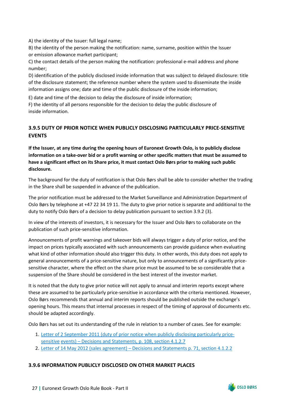A) the identity of the Issuer: full legal name;

B) the identity of the person making the notification: name, surname, position within the Issuer or emission allowance market participant;

C) the contact details of the person making the notification: professional e-mail address and phone number;

D) identification of the publicly disclosed inside information that was subject to delayed disclosure: title of the disclosure statement; the reference number where the system used to disseminate the inside information assigns one; date and time of the public disclosure of the inside information;

E) date and time of the decision to delay the disclosure of inside information;

F) the identity of all persons responsible for the decision to delay the public disclosure of inside information.

## <span id="page-29-0"></span>**3.9.5 DUTY OF PRIOR NOTICE WHEN PUBLICLY DISCLOSING PARTICULARLY PRICE-SENSITIVE EVENTS**

**If the Issuer, at any time during the opening hours of Euronext Growth Oslo, is to publicly disclose information on a take-over bid or a profit warning or other specific matters that must be assumed to have a significant effect on its Share price, it must contact Oslo Børs prior to making such public disclosure.**

The background for the duty of notification is that Oslo Børs shall be able to consider whether the trading in the Share shall be suspended in advance of the publication.

The prior notification must be addressed to the Market Surveillance and Administration Department of Oslo Børs by telephone at +47 22 34 19 11. The duty to give prior notice is separate and additional to the duty to notify Oslo Børs of a decision to delay publication pursuant to section 3.9.2 (3).

In view of the interests of investors, it is necessary for the Issuer and Oslo Børs to collaborate on the publication of such price-sensitive information.

Announcements of profit warnings and takeover bids will always trigger a duty of prior notice, and the impact on prices typically associated with such announcements can provide guidance when evaluating what kind of other information should also trigger this duty. In other words, this duty does not apply to general announcements of a price-sensitive nature, but only to announcements of a significantly pricesensitive character, where the effect on the share price must be assumed to be so considerable that a suspension of the Share should be considered in the best interest of the investor market.

It is noted that the duty to give prior notice will not apply to annual and interim reports except where these are assumed to be particularly price-sensitive in accordance with the criteria mentioned. However, Oslo Børs recommends that annual and interim reports should be published outside the exchange's opening hours. This means that internal processes in respect of the timing of approval of documents etc. should be adapted accordingly.

Oslo Børs has set out its understanding of the rule in relation to a number of cases. See for example:

- 1. [Letter of 2 September 2011 \(duty of prior notice when publicly disclosing particularly price](https://www.euronext.com/sites/default/files/2020-09/Circulars%2C%20decisions%20and%20statements%202011.pdf)[sensitive](https://www.euronext.com/sites/default/files/2020-09/Circulars%2C%20decisions%20and%20statements%202011.pdf) [events\) – Decisions and Statements, p. 108, section 4.1.2.7](https://www.oslobors.no/obnewsletter/download/2361736886c49128aee2c53fa273918b/file/file/B%C3%83%C2%B8rssirkul%C3%83%C2%A6rer%2C%20vedtak%20og%20uttalelser%202011.pdf)
- 2. [Letter of 14 May 2012 \(sales agreement\) Decisions and Statements p. 71, section 4.1.2.2](https://www.euronext.com/sites/default/files/2020-09/Circulars%2C%20decisions%20and%20statements%202012.pdf)

## <span id="page-29-1"></span>**3.9.6 INFORMATION PUBLICLY DISCLOSED ON OTHER MARKET PLACES**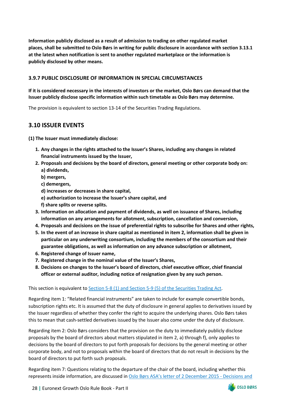**Information publicly disclosed as a result of admission to trading on other regulated market places, shall be submitted to Oslo Børs in writing for public disclosure in accordance with section 3.13.1 at the latest when notification is sent to another regulated marketplace or the information is publicly disclosed by other means.**

### <span id="page-30-0"></span>**3.9.7 PUBLIC DISCLOSURE OF INFORMATION IN SPECIAL CIRCUMSTANCES**

## **If it is considered necessary in the interests of investors or the market, Oslo Børs can demand that the Issuer publicly disclose specific information within such timetable as Oslo Børs may determine.**

The provision is equivalent to section 13-14 of the Securities Trading Regulations.

## <span id="page-30-1"></span>**3.10 ISSUER EVENTS**

**(1) The Issuer must immediately disclose:**

- **1. Any changes in the rights attached to the Issuer's Shares, including any changes in related financial instruments issued by the Issuer,**
- **2. Proposals and decisions by the board of directors, general meeting or other corporate body on: a) dividends,**
	- **b) mergers,**
	- **c) demergers,**
	- **d) increases or decreases in share capital,**
	- **e) authorization to increase the Issuer's share capital, and**
	- **f) share splits or reverse splits.**
- **3. Information on allocation and payment of dividends, as well on issuance of Shares, including information on any arrangements for allotment, subscription, cancellation and conversion,**
- **4. Proposals and decisions on the issue of preferential rights to subscribe for Shares and other rights,**
- **5. In the event of an increase in share capital as mentioned in item 2, information shall be given in particular on any underwriting consortium, including the members of the consortium and their guarantee obligations, as well as information on any advance subscription or allotment,**
- **6. Registered change of Issuer name,**
- **7. Registered change in the nominal value of the Issuer's Shares,**
- **8. Decisions on changes to the Issuer's board of directors, chief executive officer, chief financial officer or external auditor, including notice of resignation given by any such person.**

This section is equivalent to [Section 5-8 \(1\) and Section 5-9 \(5\) of the Securities Trading Act.](https://www.finanstilsynet.no/globalassets/laws-and-regulations/laws/securities-trading-act.pdf)

Regarding item 1: "Related financial instruments" are taken to include for example convertible bonds, subscription rights etc. It is assumed that the duty of disclosure in general applies to derivatives issued by the Issuer regardless of whether they confer the right to acquire the underlying shares. Oslo Børs takes this to mean that cash-settled derivatives issued by the Issuer also come under the duty of disclosure.

Regarding item 2: Oslo Børs considers that the provision on the duty to immediately publicly disclose proposals by the board of directors about matters stipulated in item 2, a) through f), only applies to decisions by the board of directors to put forth proposals for decisions by the general meeting or other corporate body, and not to proposals within the board of directors that do not result in decisions by the board of directors to put forth such proposals.

Regarding item 7: Questions relating to the departure of the chair of the board, including whether this represents inside information, are discussed in [Oslo Børs ASA's letter of 2 December 2015 - Decisions and](https://www.euronext.com/sites/default/files/2020-09/Circulars%2C%20decisions%20and%20statements%202015.pdf)

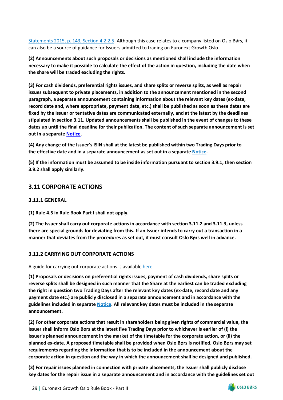[Statements 2015, p. 143, Section 4.2.2.5.](https://www.euronext.com/sites/default/files/2020-09/Circulars%2C%20decisions%20and%20statements%202015.pdf) Although this case relates to a company listed on Oslo Børs, it can also be a source of guidance for Issuers admitted to trading on Euronext Growth Oslo.

**(2) Announcements about such proposals or decisions as mentioned shall include the information necessary to make it possible to calculate the effect of the action in question, including the date when the share will be traded excluding the rights.**

**(3) For cash dividends, preferential rights issues, and share splits or reverse splits, as well as repair issues subsequent to private placements, in addition to the announcement mentioned in the second paragraph, a separate announcement containing information about the relevant key dates (ex-date, record date and, where appropriate, payment date, etc.) shall be published as soon as these dates are fixed by the Issuer or tentative dates are communicated externally, and at the latest by the deadlines stipulated in section 3.11. Updated announcements shall be published in the event of changes to these dates up until the final deadline for their publication. The content of such separate announcement is set out in a separate [Notice.](https://www.euronext.com/en/regulation/mtfs-operated-euronext)** 

**(4) Any change of the Issuer's ISIN shall at the latest be published within two Trading Days prior to the effective date and in a separate announcement as set out in a separate [Notice.](https://www.euronext.com/en/media/3797/download)** 

**(5) If the information must be assumed to be inside information pursuant to section 3.9.1, then section 3.9.2 shall apply similarly.**

## <span id="page-31-0"></span>**3.11 CORPORATE ACTIONS**

#### <span id="page-31-1"></span>**3.11.1 GENERAL**

**(1) Rule 4.5 in Rule Book Part I shall not apply.**

**(2) The Issuer shall carry out corporate actions in accordance with section 3.11.2 and 3.11.3, unless there are special grounds for deviating from this. If an Issuer intends to carry out a transaction in a manner that deviates from the procedures as set out, it must consult Oslo Børs well in advance.**

## <span id="page-31-2"></span>**3.11.2 CARRYING OUT CORPORATE ACTIONS**

#### A guide for carrying out corporate actions is availabl[e here.](https://www.euronext.com/en/media/3798/download)

**(1) Proposals or decisions on preferential rights issues, payment of cash dividends, share splits or reverse splits shall be designed in such manner that the Share at the earliest can be traded excluding the right in question two Trading Days after the relevant key dates (ex-date, record date and any payment date etc.) are publicly disclosed in a separate announcement and in accordance with the guidelines included in separate [Notice.](https://www.euronext.com/en/regulation/mtfs-operated-euronext) All relevant key dates must be included in the separate announcement.**

**(2) For other corporate actions that result in shareholders being given rights of commercial value, the Issuer shall inform Oslo Børs at the latest five Trading Days prior to whichever is earlier of (i) the Issuer's planned announcement in the market of the timetable for the corporate action, or (ii) the planned ex-date. A proposed timetable shall be provided when Oslo Børs is notified. Oslo Børs may set requirements regarding the information that is to be included in the announcement about the corporate action in question and the way in which the announcement shall be designed and published.**

**(3) For repair issues planned in connection with private placements, the Issuer shall publicly disclose key dates for the repair issue in a separate announcement and in accordance with the guidelines set out** 

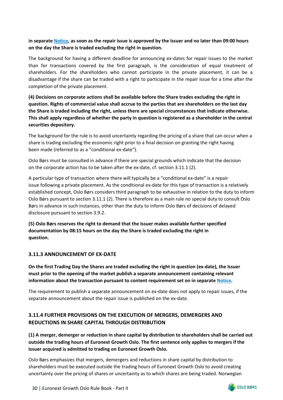## **in separate [Notice,](https://www.euronext.com/en/regulation/mtfs-operated-euronext) as soon as the repair issue is approved by the Issuer and no later than 09:00 hours on the day the Share is traded excluding the right in question.**

The background for having a different deadline for announcing ex-dates for repair issues to the market than for transactions covered by the first paragraph, is the consideration of equal treatment of shareholders. For the shareholders who cannot participate in the private placement, it can be a disadvantage if the share can be traded with a right to participate in the repair issue for a time after the completion of the private placement.

**(4) Decisions on corporate actions shall be available before the Share trades excluding the right in question. Rights of commercial value shall accrue to the parties that are shareholders on the last day the Share is traded including the right, unless there are special circumstances that indicate otherwise. This shall apply regardless of whether the party in question is registered as a shareholder in the central securities depository.**

The background for the rule is to avoid uncertainty regarding the pricing of a share that can occur when a share is trading excluding the economic right prior to a final decision on granting the right having been made (referred to as a "conditional ex-date").

Oslo Børs must be consulted in advance if there are special grounds which indicate that the decision on the corporate action has to be taken after the ex-date, cf. section 3.11.1 (2).

A particular type of transaction where there will typically be a "conditional ex-date" is a repair issue following a private placement. As the conditional ex-date for this type of transaction is a relatively established concept, Oslo Børs considers third paragraph to be exhaustive in relation to the duty to inform Oslo Børs pursuant to section 3.11.1 (2). There is therefore as a main rule no special duty to consult Oslo Børs in advance in such instances, other than the duty to inform Oslo Børs of decisions of delayed disclosure pursuant to section 3.9.2.

**(5) Oslo Børs reserves the right to demand that the Issuer makes available further specified documentation by 08:15 hours on the day the Share is traded excluding the right in question.**

## <span id="page-32-0"></span>**3.11.3 ANNOUNCEMENT OF EX-DATE**

**On the first Trading Day the Shares are traded excluding the right in question (ex-date), the Issuer must prior to the opening of the market publish a separate announcement containing relevant information about the transaction pursuant to content requirement set on in separat[e Notice.](https://www.euronext.com/en/regulation/mtfs-operated-euronext)** 

The requirement to publish a separate announcement on ex-date does not apply to repair issues, if the separate announcement about the repair issue is published on the ex-date.

## <span id="page-32-1"></span>**3.11.4 FURTHER PROVISIONS ON THE EXECUTION OF MERGERS, DEMERGERS AND REDUCTIONS IN SHARE CAPITAL THROUGH DISTRIBUTION**

**(1) A merger, demerger or reduction in share capital by distribution to shareholders shall be carried out outside the trading hours of Euronext Growth Oslo. The first sentence only applies to mergers if the Issuer acquired is admitted to trading on Euronext Growth Oslo.**

Oslo Børs emphasizes that mergers, demergers and reductions in share capital by distribution to shareholders must be executed outside the trading hours of Euronext Growth Oslo to avoid creating uncertainty over the pricing of shares or uncertainty as to which shares are being traded. Norwegian

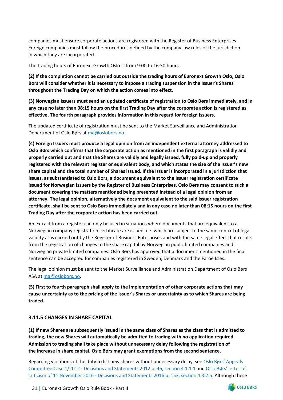companies must ensure corporate actions are registered with the Register of Business Enterprises. Foreign companies must follow the procedures defined by the company law rules of the jurisdiction in which they are incorporated.

The trading hours of Euronext Growth Oslo is from 9:00 to 16:30 hours.

**(2) If the completion cannot be carried out outside the trading hours of Euronext Growth Oslo, Oslo Børs will consider whether it is necessary to impose a trading suspension in the Issuer's Shares throughout the Trading Day on which the action comes into effect.**

**(3) Norwegian Issuers must send an updated certificate of registration to Oslo Børs immediately, and in any case no later than 08:15 hours on the first Trading Day after the corporate action is registered as effective. The fourth paragraph provides information in this regard for foreign Issuers.**

The updated certificate of registration must be sent to the Market Surveillance and Administration Department of Oslo Børs at [ma@oslobors.no.](mailto:ma@oslobors.no)

**(4) Foreign Issuers must produce a legal opinion from an independent external attorney addressed to Oslo Børs which confirms that the corporate action as mentioned in the first paragraph is validly and properly carried out and that the Shares are validly and legally issued, fully paid-up and properly registered with the relevant register or equivalent body, and which states the size of the Issuer's new share capital and the total number of Shares issued. If the Issuer is incorporated in a jurisdiction that issues, as substantiated to Oslo Børs, a document equivalent to the Issuer registration certificate issued for Norwegian Issuers by the Register of Business Enterprises, Oslo Børs may consent to such a document covering the matters mentioned being presented instead of a legal opinion from an attorney. The legal opinion, alternatively the document equivalent to the said Issuer registration certificate, shall be sent to Oslo Børs immediately and in any case no later than 08:15 hours on the first Trading Day after the corporate action has been carried out.**

An extract from a register can only be used in situations where documents that are equivalent to a Norwegian company registration certificate are issued, i.e. which are subject to the same control of legal validity as is carried out by the Register of Business Enterprises and with the same legal effect that results from the registration of changes to the share capital by Norwegian public limited companies and Norwegian private limited companies. Oslo Børs has approved that a document mentioned in the final sentence can be accepted for companies registered in Sweden, Denmark and the Faroe Isles.

The legal opinion must be sent to the Market Surveillance and Administration Department of Oslo Børs ASA a[t ma@oslobors.no.](mailto:ma@oslobors.no)

**(5) First to fourth paragraph shall apply to the implementation of other corporate actions that may cause uncertainty as to the pricing of the Issuer's Shares or uncertainty as to which Shares are being traded.**

#### <span id="page-33-0"></span>**3.11.5 CHANGES IN SHARE CAPITAL**

**(1) If new Shares are subsequently issued in the same class of Shares as the class that is admitted to trading, the new Shares will automatically be admitted to trading with no application required. Admission to trading shall take place without unnecessary delay following the registration of the increase in share capital. Oslo Børs may grant exemptions from the second sentence.**

Regarding violations of the duty to list new shares without unnecessary delay, see [Oslo Børs' Appeals](https://www.euronext.com/sites/default/files/2020-09/Circulars%2C%20decisions%20and%20statements%202012.pdf) [Committee Case 1/2012 - Decisions and Statements 2012 p. 46, section 4.1.1.1](https://www.euronext.com/sites/default/files/2020-09/Circulars%2C%20decisions%20and%20statements%202012.pdf) and [Oslo Børs' letter of](https://www.euronext.com/sites/default/files/2020-09/Circulars%2C%20decisions%20and%20statements%202016.pdf) [criticism of 11 November 2016 - Decisions and Statements 2016 p. 153, section 4.3.2.5.](https://www.euronext.com/sites/default/files/2020-09/Circulars%2C%20decisions%20and%20statements%202016.pdf) Although these

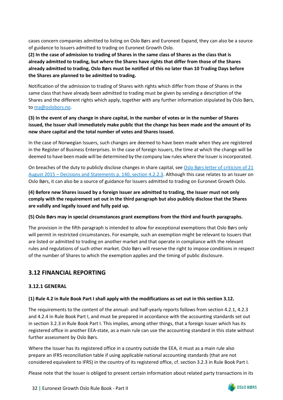cases concern companies admitted to listing on Oslo Børs and Euronext Expand, they can also be a source of guidance to Issuers admitted to trading on Euronext Growth Oslo.

**(2) In the case of admission to trading of Shares in the same class of Shares as the class that is already admitted to trading, but where the Shares have rights that differ from those of the Shares already admitted to trading, Oslo Børs must be notified of this no later than 10 Trading Days before the Shares are planned to be admitted to trading.**

Notification of the admission to trading of Shares with rights which differ from those of Shares in the same class that have already been admitted to trading must be given by sending a description of the Shares and the different rights which apply, together with any further information stipulated by Oslo Børs, to [ma@oslobors.no.](mailto:ma@oslobors.no)

## **(3) In the event of any change in share capital, in the number of votes or in the number of Shares issued, the Issuer shall immediately make public that the change has been made and the amount of its new share capital and the total number of votes and Shares issued.**

In the case of Norwegian Issuers, such changes are deemed to have been made when they are registered in the Register of Business Enterprises. In the case of foreign Issuers, the time at which the change will be deemed to have been made will be determined by the company law rules where the Issuer is incorporated.

On breaches of the duty to publicly disclose changes in share capital, see [Oslo Børs letter of criticism of 21](https://www.euronext.com/sites/default/files/2020-09/Circulars%2C%20decisions%20and%20statements%202015.pdf) [August 2015 – Decisions and Statements p. 140, section 4.2.2.3.](https://www.euronext.com/sites/default/files/2020-09/Circulars%2C%20decisions%20and%20statements%202015.pdf) Although this case relates to an Issuer on Oslo Børs, it can also be a source of guidance for Issuers admitted to trading on Euronext Growth Oslo.

**(4) Before new Shares issued by a foreign Issuer are admitted to trading, the Issuer must not only comply with the requirement set out in the third paragraph but also publicly disclose that the Shares are validly and legally issued and fully paid up.**

#### **(5) Oslo Børs may in special circumstances grant exemptions from the third and fourth paragraphs.**

The provision in the fifth paragraph is intended to allow for exceptional exemptions that Oslo Børs only will permit in restricted circumstances. For example, such an exemption might be relevant to Issuers that are listed or admitted to trading on another market and that operate in compliance with the relevant rules and regulations of such other market. Oslo Børs will reserve the right to impose conditions in respect of the number of Shares to which the exemption applies and the timing of public disclosure.

# <span id="page-34-0"></span>**3.12 FINANCIAL REPORTING**

## <span id="page-34-1"></span>**3.12.1 GENERAL**

## **(1) Rule 4.2 in Rule Book Part I shall apply with the modifications as set out in this section 3.12.**

The requirements to the content of the annual- and half-yearly reports follows from section 4.2.1, 4.2.3 and 4.2.4 in Rule Book Part I, and must be prepared in accordance with the accounting standards set out in section 3.2.3 in Rule Book Part I. This implies, among other things, that a foreign Issuer which has its registered office in another EEA-state, as a main rule can use the accounting standard in this state without further assessment by Oslo Børs.

Where the Issuer has its registered office in a country outside the EEA, it must as a main rule also prepare an IFRS reconciliation table if using applicable national accounting standards (that are not considered equivalent to IFRS) in the country of its registered office, cf. section 3.2.3 in Rule Book Part I.

Please note that the Issuer is obliged to present certain information about related party transactions in its

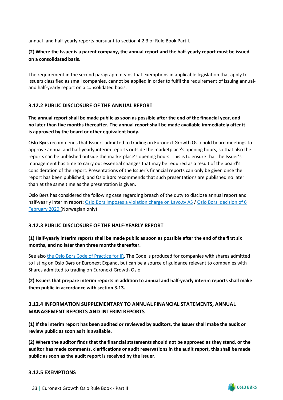annual- and half-yearly reports pursuant to section 4.2.3 of Rule Book Part I.

## **(2) Where the Issuer is a parent company, the annual report and the half-yearly report must be issued on a consolidated basis.**

The requirement in the second paragraph means that exemptions in applicable legislation that apply to Issuers classified as small companies, cannot be applied in order to fulfil the requirement of issuing annualand half-yearly report on a consolidated basis.

## <span id="page-35-0"></span>**3.12.2 PUBLIC DISCLOSURE OF THE ANNUAL REPORT**

**The annual report shall be made public as soon as possible after the end of the financial year, and no later than five months thereafter. The annual report shall be made available immediately after it is approved by the board or other equivalent body.**

Oslo Børs recommends that Issuers admitted to trading on Euronext Growth Oslo hold board meetings to approve annual and half-yearly interim reports outside the marketplace's opening hours, so that also the reports can be published outside the marketplace's opening hours. This is to ensure that the Issuer's management has time to carry out essential changes that may be required as a result of the board's consideration of the report. Presentations of the Issuer's financial reports can only be given once the report has been published, and Oslo Børs recommends that such presentations are published no later than at the same time as the presentation is given.

Oslo Børs has considered the following case regarding breach of the duty to disclose annual report and half-yearly interim report: [Oslo Børs imposes a violation charge on Lavo.tv AS](https://www.euronext.com/sites/default/files/2020-10/2020-02-06%20Lavo.tv%20AS%20%E2%80%93%20Overtredelse%20plikten%20til%20%C3%A5%20offentliggj%C3%B8re%20%C3%A5rs-%20og%20halv%C3%A5rsrapport.pdf) / [Oslo Børs' decision of 6](https://www.euronext.com/sites/default/files/2020-10/2020-02-06%20Lavo.tv%20AS%20%E2%80%93%20Overtredelse%20plikten%20til%20%C3%A5%20offentliggj%C3%B8re%20%C3%A5rs-%20og%20halv%C3%A5rsrapport.pdf) [February 2020 \(](https://www.oslobors.no/obnewsletter/download/a1e34150638b23cc313bc5acaa9ff13e/file/file/2020-02-06%20Lavo.tv%20AS%20%C3%A2%E2%82%AC)Norwegian only)

## <span id="page-35-1"></span>**3.12.3 PUBLIC DISCLOSURE OF THE HALF-YEARLY REPORT**

## **(1) Half-yearly interim reports shall be made public as soon as possible after the end of the first six months, and no later than three months thereafter.**

See also [the Oslo Børs Code of Practice for IR.](https://www.euronext.com/sites/default/files/2021-03/52118_Oslo-Bors-Code-of-practice-IR_2021.pdf) The Code is produced for companies with shares admitted to listing on Oslo Børs or Euronext Expand, but can be a source of guidance relevant to companies with Shares admitted to trading on Euronext Growth Oslo.

**(2) Issuers that prepare interim reports in addition to annual and half-yearly interim reports shall make them public in accordance with section 3.13.**

## <span id="page-35-2"></span>**3.12.4 INFORMATION SUPPLEMENTARY TO ANNUAL FINANCIAL STATEMENTS, ANNUAL MANAGEMENT REPORTS AND INTERIM REPORTS**

**(1) If the interim report has been audited or reviewed by auditors, the Issuer shall make the audit or review public as soon as it is available.**

**(2) Where the auditor finds that the financial statements should not be approved as they stand, or the auditor has made comments, clarifications or audit reservations in the audit report, this shall be made public as soon as the audit report is received by the Issuer.**

## <span id="page-35-3"></span>**3.12.5 EXEMPTIONS**



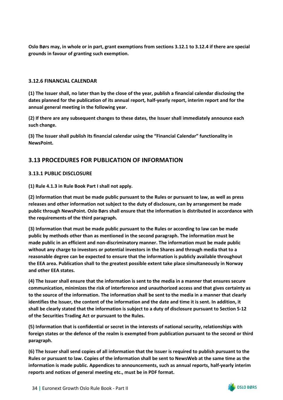**Oslo Børs may, in whole or in part, grant exemptions from sections 3.12.1 to 3.12.4 if there are special grounds in favour of granting such exemption.**

## <span id="page-36-0"></span>**3.12.6 FINANCIAL CALENDAR**

**(1) The Issuer shall, no later than by the close of the year, publish a financial calendar disclosing the dates planned for the publication of its annual report, half-yearly report, interim report and for the annual general meeting in the following year.**

**(2) If there are any subsequent changes to these dates, the Issuer shall immediately announce each such change.**

**(3) The Issuer shall publish its financial calendar using the "Financial Calendar" functionality in NewsPoint.**

## <span id="page-36-1"></span>**3.13 PROCEDURES FOR PUBLICATION OF INFORMATION**

## <span id="page-36-2"></span>**3.13.1 PUBLIC DISCLOSURE**

**(1) Rule 4.1.3 in Rule Book Part I shall not apply.**

**(2) Information that must be made public pursuant to the Rules or pursuant to law, as well as press releases and other information not subject to the duty of disclosure, can by arrangement be made public through NewsPoint. Oslo Børs shall ensure that the information is distributed in accordance with the requirements of the third paragraph.**

**(3) Information that must be made public pursuant to the Rules or according to law can be made public by methods other than as mentioned in the second paragraph. The information must be made public in an efficient and non-discriminatory manner. The information must be made public without any charge to investors or potential investors in the Shares and through media that to a reasonable degree can be expected to ensure that the information is publicly available throughout the EEA area. Publication shall to the greatest possible extent take place simultaneously in Norway and other EEA states.**

**(4) The Issuer shall ensure that the information is sent to the media in a manner that ensures secure communication, minimizes the risk of interference and unauthorized access and that gives certainty as to the source of the information. The information shall be sent to the media in a manner that clearly identifies the Issuer, the content of the information and the date and time it is sent. In addition, it shall be clearly stated that the information is subject to a duty of disclosure pursuant to Section 5-12 of the Securities Trading Act or pursuant to the Rules.**

**(5) Information that is confidential or secret in the interests of national security, relationships with foreign states or the defence of the realm is exempted from publication pursuant to the second or third paragraph.**

**(6) The Issuer shall send copies of all information that the Issuer is required to publish pursuant to the Rules or pursuant to law. Copies of the information shall be sent to NewsWeb at the same time as the information is made public. Appendices to announcements, such as annual reports, half-yearly interim reports and notices of general meeting etc., must be in PDF format.**

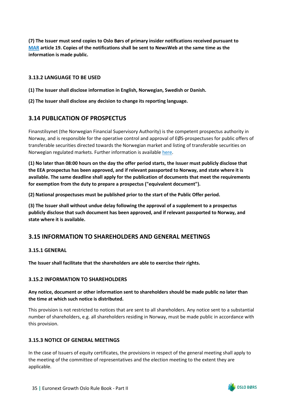**(7) The Issuer must send copies to Oslo Børs of primary insider notifications received pursuant to [MAR](https://eur-lex.europa.eu/legal-content/EN/TXT/PDF/?uri=CELEX%3A32014R0596&from=EN) article 19. Copies of the notifications shall be sent to NewsWeb at the same time as the information is made public.**

### <span id="page-37-0"></span>**3.13.2 LANGUAGE TO BE USED**

**(1) The Issuer shall disclose information in English, Norwegian, Swedish or Danish.**

**(2) The Issuer shall disclose any decision to change its reporting language.**

## <span id="page-37-1"></span>**3.14 PUBLICATION OF PROSPECTUS**

Finanstilsynet (the Norwegian Financial Supervisory Authority) is the competent prospectus authority in Norway, and is responsible for the operative control and approval of EØS-prospectuses for public offers of transferable securities directed towards the Norwegian market and listing of transferable securities on Norwegian regulated markets. Further information is available [here.](https://www.finanstilsynet.no/en/tema/prospectuses/)

**(1) No later than 08:00 hours on the day the offer period starts, the Issuer must publicly disclose that the EEA prospectus has been approved, and if relevant passported to Norway, and state where it is available. The same deadline shall apply for the publication of documents that meet the requirements for exemption from the duty to prepare a prospectus ("equivalent document").**

**(2) National prospectuses must be published prior to the start of the Public Offer period.**

**(3) The Issuer shall without undue delay following the approval of a supplement to a prospectus publicly disclose that such document has been approved, and if relevant passported to Norway, and state where it is available.**

## <span id="page-37-2"></span>**3.15 INFORMATION TO SHAREHOLDERS AND GENERAL MEETINGS**

#### <span id="page-37-3"></span>**3.15.1 GENERAL**

**The Issuer shall facilitate that the shareholders are able to exercise their rights.**

#### <span id="page-37-4"></span>**3.15.2 INFORMATION TO SHAREHOLDERS**

### **Any notice, document or other information sent to shareholders should be made public no later than the time at which such notice is distributed.**

This provision is not restricted to notices that are sent to all shareholders. Any notice sent to a substantial number of shareholders, e.g. all shareholders residing in Norway, must be made public in accordance with this provision.

#### <span id="page-37-5"></span>**3.15.3 NOTICE OF GENERAL MEETINGS**

In the case of Issuers of equity certificates, the provisions in respect of the general meeting shall apply to the meeting of the committee of representatives and the election meeting to the extent they are applicable.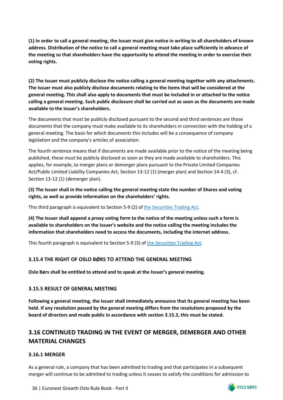**(1) In order to call a general meeting, the Issuer must give notice in writing to all shareholders of known address. Distribution of the notice to call a general meeting must take place sufficiently in advance of the meeting so that shareholders have the opportunity to attend the meeting in order to exercise their voting rights.**

**(2) The Issuer must publicly disclose the notice calling a general meeting together with any attachments. The Issuer must also publicly disclose documents relating to the items that will be considered at the general meeting. This shall also apply to documents that must be included in or attached to the notice calling a general meeting. Such public disclosure shall be carried out as soon as the documents are made available to the Issuer's shareholders.**

The documents that must be publicly disclosed pursuant to the second and third sentences are those documents that the company must make available to its shareholders in connection with the holding of a general meeting. The basis for which documents this includes will be a consequence of company legislation and the company's articles of association.

The fourth sentence means that if documents are made available prior to the notice of the meeting being published, these must be publicly disclosed as soon as they are made available to shareholders. This applies, for example, to merger plans or demerger plans pursuant to the Private Limited Companies Act/Public Limited Liability Companies Act, Section 13-12 (1) (merger plan) and Section 14-4 (3), cf. Section 13-12 (1) (demerger plan).

**(3) The Issuer shall in the notice calling the general meeting state the number of Shares and voting rights, as well as provide information on the shareholders' rights.**

This third paragraph is equivalent to Section 5-9 (2) of [the Securities Trading Act.](https://www.finanstilsynet.no/globalassets/laws-and-regulations/laws/securities-trading-act.pdf)

**(4) The Issuer shall append a proxy voting form to the notice of the meeting unless such a form is available to shareholders on the Issuer's website and the notice calling the meeting includes the information that shareholders need to access the documents, including the internet address.**

This fourth paragraph is equivalent to Section 5-9 (3) o[f the Securities Trading Act.](https://www.finanstilsynet.no/globalassets/laws-and-regulations/laws/securities-trading-act.pdf)

## <span id="page-38-0"></span>**3.15.4 THE RIGHT OF OSLO BØRS TO ATTEND THE GENERAL MEETING**

**Oslo Børs shall be entitled to attend and to speak at the Issuer's general meeting.**

## <span id="page-38-1"></span>**3.15.5 RESULT OF GENERAL MEETING**

**Following a general meeting, the Issuer shall immediately announce that its general meeting has been held. If any resolution passed by the general meeting differs from the resolutions proposed by the board of directors and made public in accordance with section 3.15.3, this must be stated.**

# <span id="page-38-2"></span>**3.16 CONTINUED TRADING IN THE EVENT OF MERGER, DEMERGER AND OTHER MATERIAL CHANGES**

## <span id="page-38-3"></span>**3.16.1 MERGER**

As a general rule, a company that has been admitted to trading and that participates in a subsequent merger will continue to be admitted to trading unless it ceases to satisfy the conditions for admission to

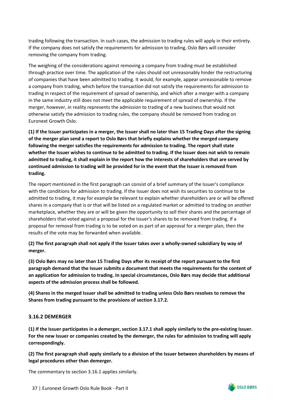trading following the transaction. In such cases, the admission to trading rules will apply in their entirety. If the company does not satisfy the requirements for admission to trading, Oslo Børs will consider removing the company from trading.

The weighing of the considerations against removing a company from trading must be established through practice over time. The application of the rules should not unreasonably hinder the restructuring of companies that have been admitted to trading. It would, for example, appear unreasonable to remove a company from trading, which before the transaction did not satisfy the requirements for admission to trading in respect of the requirement of spread of ownership, and which after a merger with a company in the same industry still does not meet the applicable requirement of spread of ownership. If the merger, however, in reality represents the admission to trading of a new business that would not otherwise satisfy the admission to trading rules, the company should be removed from trading on Euronext Growth Oslo.

**(1) If the Issuer participates in a merger, the Issuer shall no later than 15 Trading Days after the signing of the merger plan send a report to Oslo Børs that briefly explains whether the merged company following the merger satisfies the requirements for admission to trading. The report shall state whether the Issuer wishes to continue to be admitted to trading. If the Issuer does not wish to remain admitted to trading, it shall explain in the report how the interests of shareholders that are served by continued admission to trading will be provided for in the event that the Issuer is removed from trading.**

The report mentioned in the first paragraph can consist of a brief summary of the Issuer's compliance with the conditions for admission to trading. If the Issuer does not wish its securities to continue to be admitted to trading, it may for example be relevant to explain whether shareholders are or will be offered shares in a company that is or that will be listed on a regulated market or admitted to trading on another marketplace, whether they are or will be given the opportunity to sell their shares and the percentage of shareholders that voted against a proposal for the Issuer's shares to be removed from trading. If a proposal for removal from trading is to be voted on as part of an approval for a merger plan, then the results of the vote may be forwarded when available.

**(2) The first paragraph shall not apply if the Issuer takes over a wholly-owned subsidiary by way of merger.**

**(3) Oslo Børs may no later than 15 Trading Days after its receipt of the report pursuant to the first paragraph demand that the Issuer submits a document that meets the requirements for the content of an application for admission to trading. In special circumstances, Oslo Børs may decide that additional aspects of the admission process shall be followed.**

**(4) Shares in the merged Issuer shall be admitted to trading unless Oslo Børs resolves to remove the Shares from trading pursuant to the provisions of section 3.17.2.**

#### <span id="page-39-0"></span>**3.16.2 DEMERGER**

**(1) If the Issuer participates in a demerger, section 3.17.1 shall apply similarly to the pre-existing Issuer. For the new Issuer or companies created by the demerger, the rules for admission to trading will apply correspondingly.**

**(2) The first paragraph shall apply similarly to a division of the Issuer between shareholders by means of legal procedures other than demerger.**

The commentary to section 3.16.1 applies similarly.

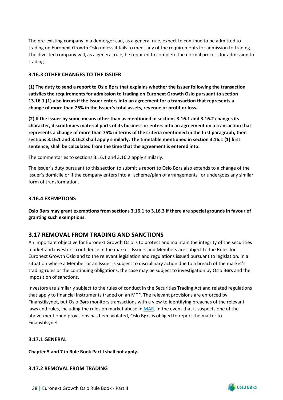The pre-existing company in a demerger can, as a general rule, expect to continue to be admitted to trading on Euronext Growth Oslo unless it fails to meet any of the requirements for admission to trading. The divested company will, as a general rule, be required to complete the normal process for admission to trading.

## <span id="page-40-0"></span>**3.16.3 OTHER CHANGES TO THE ISSUER**

**(1) The duty to send a report to Oslo Børs that explains whether the Issuer following the transaction satisfies the requirements for admission to trading on Euronext Growth Oslo pursuant to section 13.16.1 (1) also incurs if the Issuer enters into an agreement for a transaction that represents a change of more than 75% in the Issuer's total assets, revenue or profit or loss.**

**(2) If the Issuer by some means other than as mentioned in sections 3.16.1 and 3.16.2 changes its character, discontinues material parts of its business or enters into an agreement on a transaction that represents a change of more than 75% in terms of the criteria mentioned in the first paragraph, then sections 3.16.1 and 3.16.2 shall apply similarly. The timetable mentioned in section 3.16.1 (1) first sentence, shall be calculated from the time that the agreement is entered into.**

The commentaries to sections 3.16.1 and 3.16.2 apply similarly.

The Issuer's duty pursuant to this section to submit a report to Oslo Børs also extends to a change of the Issuer's domicile or if the company enters into a "scheme/plan of arrangements" or undergoes any similar form of transformation.

## <span id="page-40-1"></span>**3.16.4 EXEMPTIONS**

**Oslo Børs may grant exemptions from sections 3.16.1 to 3.16.3 if there are special grounds in favour of granting such exemptions.** 

# <span id="page-40-2"></span>**3.17 REMOVAL FROM TRADING AND SANCTIONS**

An important objective for Euronext Growth Oslo is to protect and maintain the integrity of the securities market and investors' confidence in the market. Issuers and Members are subject to the Rules for Euronext Growth Oslo and to the relevant legislation and regulations issued pursuant to legislation. In a situation where a Member or an Issuer is subject to disciplinary action due to a breach of the market's trading rules or the continuing obligations, the case may be subject to investigation by Oslo Børs and the imposition of sanctions.

Investors are similarly subject to the rules of conduct in the Securities Trading Act and related regulations that apply to financial instruments traded on an MTF. The relevant provisions are enforced by Finanstilsynet, but Oslo Børs monitors transactions with a view to identifying breaches of the relevant laws and rules, including the rules on market abuse in [MAR.](https://eur-lex.europa.eu/legal-content/EN/TXT/PDF/?uri=CELEX%3A32014R0596&from=EN) In the event that it suspects one of the above-mentioned provisions has been violated, Oslo Børs is obliged to report the matter to Finanstilsynet.

## <span id="page-40-3"></span>**3.17.1 GENERAL**

**Chapter 5 and 7 in Rule Book Part I shall not apply.**

## <span id="page-40-4"></span>**3.17.2 REMOVAL FROM TRADING**

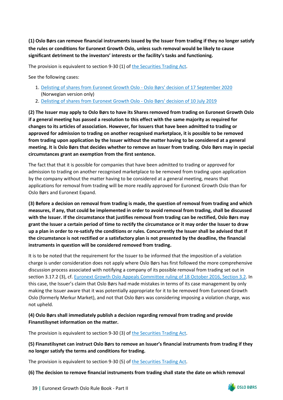**(1) Oslo Børs can remove financial instruments issued by the Issuer from trading if they no longer satisfy the rules or conditions for Euronext Growth Oslo, unless such removal would be likely to cause significant detriment to the investors' interests or the facility's tasks and functioning.** 

The provision is equivalent to section 9-30 (1) o[f the Securities Trading Act.](https://www.finanstilsynet.no/globalassets/laws-and-regulations/laws/securities-trading-act.pdf)

See the following cases:

- 1. [Delisting of shares from Euronext Growth Oslo Oslo Børs' decision of 17 September 2020](https://www.euronext.com/sites/default/files/2021-01/2020-09-17%20Lavo.tv%20AS%20-%20Beslutning%20om%20strykning.pdf) (Norwegian version only)
- 2. [Delisting of shares from Euronext Growth Oslo Oslo Børs' decision of 10 July 2019](https://www.euronext.com/sites/default/files/2020-09/2019-07-10%20-%20Sino%20Agro%20Food%20Inc%20-%20Delisting%20of%20shares%20from%20Merkur%20Market.pdf)

**(2) The Issuer may apply to Oslo Børs to have its Shares removed from trading on Euronext Growth Oslo if a general meeting has passed a resolution to this effect with the same majority as required for changes to its articles of association. However, for Issuers that have been admitted to trading or approved for admission to trading on another recognised marketplace, it is possible to be removed from trading upon application by the Issuer without the matter having to be considered at a general meeting. It is Oslo Børs that decides whether to remove an Issuer from trading. Oslo Børs may in special circumstances grant an exemption from the first sentence.**

The fact that that it is possible for companies that have been admitted to trading or approved for admission to trading on another recognised marketplace to be removed from trading upon application by the company without the matter having to be considered at a general meeting, means that applications for removal from trading will be more readily approved for Euronext Growth Oslo than for Oslo Børs and Euronext Expand.

**(3) Before a decision on removal from trading is made, the question of removal from trading and which measures, if any, that could be implemented in order to avoid removal from trading, shall be discussed with the Issuer. If the circumstance that justifies removal from trading can be rectified, Oslo Børs may grant the Issuer a certain period of time to rectify the circumstance or it may order the Issuer to draw up a plan in order to re-satisfy the conditions or rules. Concurrently the Issuer shall be advised that if the circumstance is not rectified or a satisfactory plan is not presented by the deadline, the financial instruments in question will be considered removed from trading.**

It is to be noted that the requirement for the Issuer to be informed that the imposition of a violation charge is under consideration does not apply where Oslo Børs has first followed the more comprehensive discussion process associated with notifying a company of its possible removal from trading set out in section 3.17.2 (3), cf. [Euronext Growth Oslo Appeals Committee ruling of 18 October 2016, Section 3.2.](https://www.euronext.com/sites/default/files/2020-10/Merkur%20Market%20klagenemd%20-%20Avgjorelse%20OXXY%20-%20Endelig%20%20versjon%202016-10-18_E.pdf) In this case, the Issuer's claim that Oslo Børs had made mistakes in terms of its case management by only making the Issuer aware that it was potentially appropriate for it to be removed from Euronext Growth Oslo (formerly Merkur Market), and not that Oslo Børs was considering imposing a violation charge, was not upheld.

## **(4) Oslo Børs shall immediately publish a decision regarding removal from trading and provide Finanstilsynet information on the matter.**

The provision is equivalent to section 9-30 (3) o[f the Securities Trading Act.](https://www.finanstilsynet.no/globalassets/laws-and-regulations/laws/securities-trading-act.pdf)

## **(5) Finanstilsynet can instruct Oslo Børs to remove an Issuer's financial instruments from trading if they no longer satisfy the terms and conditions for trading.**

The provision is equivalent to section 9-30 (5) o[f the Securities Trading Act.](https://www.finanstilsynet.no/globalassets/laws-and-regulations/laws/securities-trading-act.pdf)

**(6) The decision to remove financial instruments from trading shall state the date on which removal** 

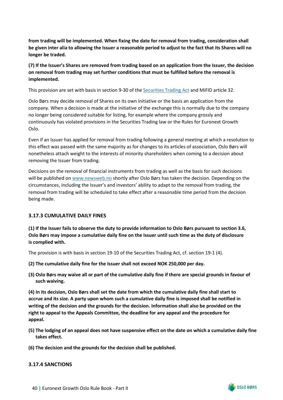**from trading will be implemented. When fixing the date for removal from trading, consideration shall be given inter alia to allowing the Issuer a reasonable period to adjust to the fact that its Shares will no longer be traded.**

**(7) If the Issuer's Shares are removed from trading based on an application from the Issuer, the decision on removal from trading may set further conditions that must be fulfilled before the removal is implemented.**

This provision are set with basis in section 9-30 of the [Securities Trading Act](https://www.finanstilsynet.no/globalassets/laws-and-regulations/laws/securities-trading-act.pdf) and MiFID article 32.

Oslo Børs may decide removal of Shares on its own initiative or the basis an application from the company. When a decision is made at the initiative of the exchange this is normally due to the company no longer being considered suitable for listing, for example where the company grossly and continuously has violated provisions in the Securities Trading law or the Rules for Euronext Growth Oslo.

Even if an Issuer has applied for removal from trading following a general meeting at which a resolution to this effect was passed with the same majority as for changes to its articles of association, Oslo Børs will nonetheless attach weight to the interests of minority shareholders when coming to a decision about removing the Issuer from trading.

Decisions on the removal of financial instruments from trading as well as the basis for such decisions will be published on [www.newsweb.no](http://www.newsweb.no/) shortly after Oslo Børs has taken the decision. Depending on the circumstances, including the Issuer's and investors' ability to adapt to the removal from trading, the removal from trading will be scheduled to take effect after a reasonable time period from the decision being made.

#### <span id="page-42-0"></span>**3.17.3 CUMULATIVE DAILY FINES**

**(1) If the Issuer fails to observe the duty to provide information to Oslo Børs pursuant to section 3.6, Oslo Børs may impose a cumulative daily fine on the Issuer until such time as the duty of disclosure is complied with.**

The provision is with basis in section 19-10 of the Securities Trading Act, cf. section 19-1 (4).

- **(2) The cumulative daily fine for the Issuer shall not exceed NOK 250,000 per day.**
- **(3) Oslo Børs may waive all or part of the cumulative daily fine if there are special grounds in favour of such waiving.**

**(4) In its decision, Oslo Børs shall set the date from which the cumulative daily fine shall start to accrue and its size. A party upon whom such a cumulative daily fine is imposed shall be notified in writing of the decision and the grounds for the decision. Information shall also be provided on the right to appeal to the Appeals Committee, the deadline for any appeal and the procedure for appeal.**

- **(5) The lodging of an appeal does not have suspensive effect on the date on which a cumulative daily fine takes effect.**
- **(6) The decision and the grounds for the decision shall be published.**

#### <span id="page-42-1"></span>**3.17.4 SANCTIONS**

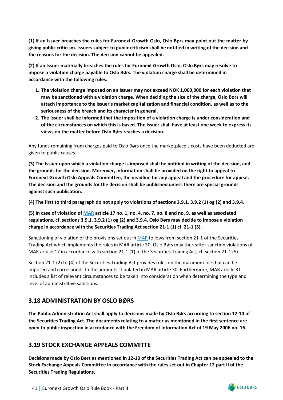**(1) If an Issuer breaches the rules for Euronext Growth Oslo, Oslo Børs may point out the matter by giving public criticism. Issuers subject to public criticism shall be notified in writing of the decision and the reasons for the decision. The decision cannot be appealed.**

**(2) If an Issuer materially breaches the rules for Euronext Growth Oslo, Oslo Børs may resolve to impose a violation charge payable to Oslo Børs. The violation charge shall be determined in accordance with the following rules:**

- **1. The violation charge imposed on an Issuer may not exceed NOK 1,000,000 for each violation that may be sanctioned with a violation charge. When deciding the size of the charge, Oslo Børs will attach importance to the Issuer's market capitalization and financial condition, as well as to the seriousness of the breach and its character in general.**
- **2. The Issuer shall be informed that the imposition of a violation charge is under consideration and of the circumstances on which this is based. The Issuer shall have at least one week to express its views on the matter before Oslo Børs reaches a decision.**

Any funds remaining from charges paid to Oslo Børs once the marketplace's costs have been deducted are given to public causes.

**(3) The Issuer upon which a violation charge is imposed shall be notified in writing of the decision, and the grounds for the decision. Moreover, information shall be provided on the right to appeal to Euronext Growth Oslo Appeals Committee, the deadline for any appeal and the procedure for appeal. The decision and the grounds for the decision shall be published unless there are special grounds against such publication.** 

**(4) The first to third paragraph do not apply to violations of sections 3.9.1, 3.9.2 (1) og (2) and 3.9.4.**

**(5) In case of violation of [MAR](https://eur-lex.europa.eu/legal-content/EN/TXT/PDF/?uri=CELEX%3A32014R0596&from=EN) article 17 no. 1, no. 4, no. 7, no. 8 and no. 9, as well as associated regulations, cf. sections 3.9.1, 3.9.2 (1) og (2) and 3.9.4, Oslo Børs may decide to impose a violation charge in accordance with the Securities Trading Act section 21-1 (1) cf. 21-1 (5).**

Sanctioning of violation of the provisions set out in [MAR](https://eur-lex.europa.eu/legal-content/EN/TXT/PDF/?uri=CELEX%3A32014R0596&from=EN) follows from section 21-1 of the Securities Trading Act which implements the rules in MAR article 30. Oslo Børs may thereafter sanction violations of MAR article 17 in accordance with section 21-1 (1) of the Securities Trading Act, cf. section 21-1 (5).

Section 21-1 (2) to (4) of the Securities Trading Act provides rules on the maximum fee that can be imposed and corresponds to the amounts stipulated in MAR article 30. Furthermore, MAR article 31 includes a list of relevant circumstances to be taken into consideration when determining the type and level of administrative sanctions.

# <span id="page-43-0"></span>**3.18 ADMINISTRATION BY OSLO BØRS**

**The Public Administration Act shall apply to decisions made by Oslo Børs according to section 12-10 of the Securities Trading Act. The documents relating to a matter as mentioned in the first sentence are open to public inspection in accordance with the Freedom of Information Act of 19 May 2006 no. 16.**

# <span id="page-43-1"></span>**3.19 STOCK EXCHANGE APPEALS COMMITTE**

**Decisions made by Oslo Børs as mentioned in 12-10 of the Securities Trading Act can be appealed to the Stock Exchange Appeals Committee in accordance with the rules set out in Chapter 12 part II of the Securities Trading Regulations.**

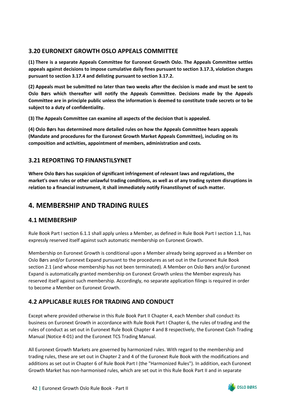# <span id="page-44-0"></span>**3.20 EURONEXT GROWTH OSLO APPEALS COMMITTEE**

**(1) There is a separate Appeals Committee for Euronext Growth Oslo. The Appeals Committee settles appeals against decisions to impose cumulative daily fines pursuant to section 3.17.3, violation charges pursuant to section 3.17.4 and delisting pursuant to section 3.17.2.**

**(2) Appeals must be submitted no later than two weeks after the decision is made and must be sent to Oslo Børs which thereafter will notify the Appeals Committee. Decisions made by the Appeals Committee are in principle public unless the information is deemed to constitute trade secrets or to be subject to a duty of confidentiality.**

**(3) The Appeals Committee can examine all aspects of the decision that is appealed.**

**(4) Oslo Børs has determined more detailed rules on how the Appeals Committee hears appeals (Mandate and procedures for the Euronext Growth Market Appeals Committee), including on its composition and activities, appointment of members, administration and costs.**

# <span id="page-44-1"></span>**3.21 REPORTING TO FINANSTILSYNET**

**Where Oslo Børs has suspicion of significant infringement of relevant laws and regulations, the market's own rules or other unlawful trading conditions, as well as of any trading system disruptions in relation to a financial instrument, it shall immediately notify Finanstilsynet of such matter.**

# <span id="page-44-2"></span>**4. MEMBERSHIP AND TRADING RULES**

# <span id="page-44-3"></span>**4.1 MEMBERSHIP**

Rule Book Part I section 6.1.1 shall apply unless a Member, as defined in Rule Book Part I section 1.1, has expressly reserved itself against such automatic membership on Euronext Growth.

Membership on Euronext Growth is conditional upon a Member already being approved as a Member on Oslo Børs and/or Euronext Expand pursuant to the procedures as set out in the Euronext Rule Book section 2.1 (and whose membership has not been terminated). A Member on Oslo Børs and/or Euronext Expand is automatically granted membership on Euronext Growth unless the Member expressly has reserved itself against such membership. Accordingly, no separate application filings is required in order to become a Member on Euronext Growth.

# <span id="page-44-4"></span>**4.2 APPLICABLE RULES FOR TRADING AND CONDUCT**

Except where provided otherwise in this Rule Book Part II Chapter 4, each Member shall conduct its business on Euronext Growth in accordance with Rule Book Part I Chapter 6, the rules of trading and the rules of conduct as set out in Euronext Rule Book Chapter 4 and 8 respectively, the Euronext Cash Trading Manual (Notice 4-01) and the Euronext TCS Trading Manual.

All Euronext Growth Markets are governed by harmonized rules. With regard to the membership and trading rules, these are set out in Chapter 2 and 4 of the Euronext Rule Book with the modifications and additions as set out in Chapter 6 of Rule Book Part I (the "Harmonized Rules"). In addition, each Euronext Growth Market has non-harmonised rules, which are set out in this Rule Book Part II and in separate

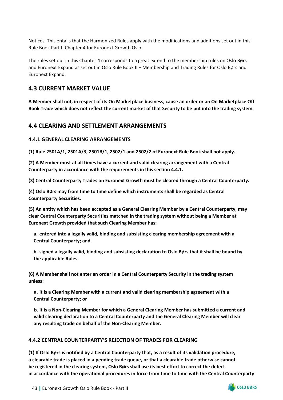Notices. This entails that the Harmonized Rules apply with the modifications and additions set out in this Rule Book Part II Chapter 4 for Euronext Growth Oslo.

The rules set out in this Chapter 4 corresponds to a great extend to the membership rules on Oslo Børs and Euronext Expand as set out in Oslo Rule Book II – Membership and Trading Rules for Oslo Børs and Euronext Expand.

## <span id="page-45-0"></span>**4.3 CURRENT MARKET VALUE**

**A Member shall not, in respect of its On Marketplace business, cause an order or an On Marketplace Off Book Trade which does not reflect the current market of that Security to be put into the trading system.**

## <span id="page-45-1"></span>**4.4 CLEARING AND SETTLEMENT ARRANGEMENTS**

### <span id="page-45-2"></span>**4.4.1 GENERAL CLEARING ARRANGEMENTS**

**(1) Rule 2501A/1, 2501A/3, 2501B/1, 2502/1 and 2502/2 of Euronext Rule Book shall not apply.**

**(2) A Member must at all times have a current and valid clearing arrangement with a Central Counterparty in accordance with the requirements in this section 4.4.1.**

**(3) Central Counterparty Trades on Euronext Growth must be cleared through a Central Counterparty.**

**(4) Oslo Børs may from time to time define which instruments shall be regarded as Central Counterparty Securities.**

**(5) An entity which has been accepted as a General Clearing Member by a Central Counterparty, may clear Central Counterparty Securities matched in the trading system without being a Member at Euronext Growth provided that such Clearing Member has:**

**a. entered into a legally valid, binding and subsisting clearing membership agreement with a Central Counterparty; and**

**b. signed a legally valid, binding and subsisting declaration to Oslo Børs that it shall be bound by the applicable Rules.**

**(6) A Member shall not enter an order in a Central Counterparty Security in the trading system unless:**

**a. it is a Clearing Member with a current and valid clearing membership agreement with a Central Counterparty; or**

**b. it is a Non-Clearing Member for which a General Clearing Member has submitted a current and valid clearing declaration to a Central Counterparty and the General Clearing Member will clear any resulting trade on behalf of the Non-Clearing Member.**

#### <span id="page-45-3"></span>**4.4.2 CENTRAL COUNTERPARTY'S REJECTION OF TRADES FOR CLEARING**

**(1) If Oslo Børs is notified by a Central Counterparty that, as a result of its validation procedure, a clearable trade is placed in a pending trade queue, or that a clearable trade otherwise cannot be registered in the clearing system, Oslo Børs shall use its best effort to correct the defect in accordance with the operational procedures in force from time to time with the Central Counterparty** 

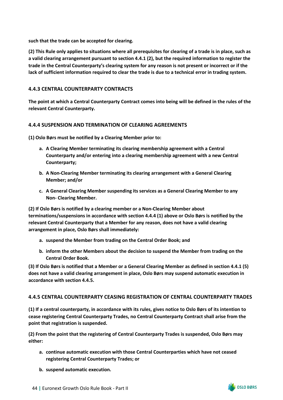**such that the trade can be accepted for clearing.**

**(2) This Rule only applies to situations where all prerequisites for clearing of a trade is in place, such as a valid clearing arrangement pursuant to section 4.4.1 (2), but the required information to register the trade in the Central Counterparty's clearing system for any reason is not present or incorrect or if the lack of sufficient information required to clear the trade is due to a technical error in trading system.**

## <span id="page-46-0"></span>**4.4.3 CENTRAL COUNTERPARTY CONTRACTS**

**The point at which a Central Counterparty Contract comes into being will be defined in the rules of the relevant Central Counterparty.**

#### <span id="page-46-1"></span>**4.4.4 SUSPENSION AND TERMINATION OF CLEARING AGREEMENTS**

**(1) Oslo Børs must be notified by a Clearing Member prior to:**

- **a. A Clearing Member terminating its clearing membership agreement with a Central Counterparty and/or entering into a clearing membership agreement with a new Central Counterparty;**
- **b. A Non-Clearing Member terminating its clearing arrangement with a General Clearing Member; and/or**
- **c. A General Clearing Member suspending its services as a General Clearing Member to any Non- Clearing Member.**

**(2) If Oslo Børs is notified by a clearing member or a Non-Clearing Member about terminations/suspensions in accordance with section 4.4.4 (1) above or Oslo Børs is notified by the relevant Central Counterparty that a Member for any reason, does not have a valid clearing arrangement in place, Oslo Børs shall immediately:**

- **a. suspend the Member from trading on the Central Order Book; and**
- **b. inform the other Members about the decision to suspend the Member from trading on the Central Order Book.**

**(3) If Oslo Børs is notified that a Member or a General Clearing Member as defined in section 4.4.1 (5) does not have a valid clearing arrangement in place, Oslo Børs may suspend automatic execution in accordance with section 4.4.5.**

## <span id="page-46-2"></span>**4.4.5 CENTRAL COUNTERPARTY CEASING REGISTRATION OF CENTRAL COUNTERPARTY TRADES**

**(1) If a central counterparty, in accordance with its rules, gives notice to Oslo Børs of its intention to cease registering Central Counterparty Trades, no Central Counterparty Contract shall arise from the point that registration is suspended.**

**(2) From the point that the registering of Central Counterparty Trades is suspended, Oslo Børs may either:**

- **a. continue automatic execution with those Central Counterparties which have not ceased registering Central Counterparty Trades; or**
- **b. suspend automatic execution.**

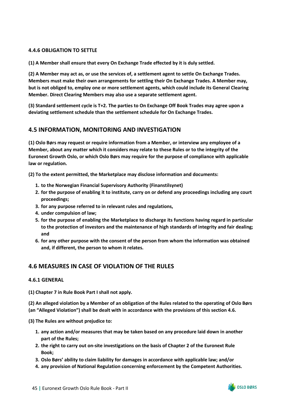## <span id="page-47-0"></span>**4.4.6 OBLIGATION TO SETTLE**

**(1) A Member shall ensure that every On Exchange Trade effected by it is duly settled.**

**(2) A Member may act as, or use the services of, a settlement agent to settle On Exchange Trades. Members must make their own arrangements for settling their On Exchange Trades. A Member may, but is not obliged to, employ one or more settlement agents, which could include its General Clearing Member. Direct Clearing Members may also use a separate settlement agent.**

**(3) Standard settlement cycle is T+2. The parties to On Exchange Off Book Trades may agree upon a deviating settlement schedule than the settlement schedule for On Exchange Trades.**

## <span id="page-47-1"></span>**4.5 INFORMATION, MONITORING AND INVESTIGATION**

**(1) Oslo Børs may request or require information from a Member, or interview any employee of a Member, about any matter which it considers may relate to these Rules or to the integrity of the Euronext Growth Oslo, or which Oslo Børs may require for the purpose of compliance with applicable law or regulation.**

**(2) To the extent permitted, the Marketplace may disclose information and documents:**

- **1. to the Norwegian Financial Supervisory Authority (Finanstilsynet)**
- **2. for the purpose of enabling it to institute, carry on or defend any proceedings including any court proceedings;**
- **3. for any purpose referred to in relevant rules and regulations,**
- **4. under compulsion of law;**
- **5. for the purpose of enabling the Marketplace to discharge its functions having regard in particular to the protection of investors and the maintenance of high standards of integrity and fair dealing; and**
- **6. for any other purpose with the consent of the person from whom the information was obtained and, if different, the person to whom it relates.**

# <span id="page-47-2"></span>**4.6 MEASURES IN CASE OF VIOLATION OF THE RULES**

#### <span id="page-47-3"></span>**4.6.1 GENERAL**

**(1) Chapter 7 in Rule Book Part I shall not apply.**

**(2) An alleged violation by a Member of an obligation of the Rules related to the operating of Oslo Børs (an "Alleged Violation") shall be dealt with in accordance with the provisions of this section 4.6.**

**(3) The Rules are without prejudice to:**

- **1. any action and/or measures that may be taken based on any procedure laid down in another part of the Rules;**
- **2. the right to carry out on-site investigations on the basis of Chapter 2 of the Euronext Rule Book;**
- **3. Oslo Børs' ability to claim liability for damages in accordance with applicable law; and/or**
- **4. any provision of National Regulation concerning enforcement by the Competent Authorities.**

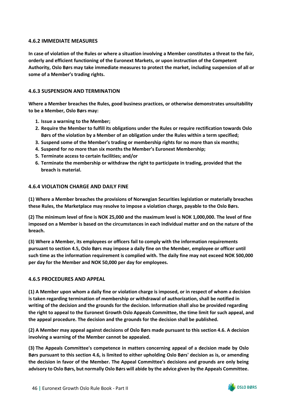### <span id="page-48-0"></span>**4.6.2 IMMEDIATE MEASURES**

**In case of violation of the Rules or where a situation involving a Member constitutes a threat to the fair, orderly and efficient functioning of the Euronext Markets, or upon instruction of the Competent Authority, Oslo Børs may take immediate measures to protect the market, including suspension of all or some of a Member's trading rights.**

## <span id="page-48-1"></span>**4.6.3 SUSPENSION AND TERMINATION**

**Where a Member breaches the Rules, good business practices, or otherwise demonstrates unsuitability to be a Member, Oslo Børs may:**

- **1. Issue a warning to the Member;**
- **2. Require the Member to fulfill its obligations under the Rules or require rectification towards Oslo Børs of the violation by a Member of an obligation under the Rules within a term specified;**
- **3. Suspend some of the Member's trading or membership rights for no more than six months;**
- **4. Suspend for no more than six months the Member's Euronext Membership;**
- **5. Terminate access to certain facilities; and/or**
- **6. Terminate the membership or withdraw the right to participate in trading, provided that the breach is material.**

#### <span id="page-48-2"></span>**4.6.4 VIOLATION CHARGE AND DAILY FINE**

**(1) Where a Member breaches the provisions of Norwegian Securities legislation or materially breaches these Rules, the Marketplace may resolve to impose a violation charge, payable to the Oslo Børs.**

**(2) The minimum level of fine is NOK 25,000 and the maximum level is NOK 1,000,000. The level of fine imposed on a Member is based on the circumstances in each individual matter and on the nature of the breach.**

**(3) Where a Member, its employees or officers fail to comply with the information requirements pursuant to section 4.5, Oslo Børs may impose a daily fine on the Member, employee or officer until such time as the information requirement is complied with. The daily fine may not exceed NOK 500,000 per day for the Member and NOK 50,000 per day for employees.**

#### <span id="page-48-3"></span>**4.6.5 PROCEDURES AND APPEAL**

**(1) A Member upon whom a daily fine or violation charge is imposed, or in respect of whom a decision is taken regarding termination of membership or withdrawal of authorization, shall be notified in writing of the decision and the grounds for the decision. Information shall also be provided regarding the right to appeal to the Euronext Growth Oslo Appeals Committee, the time limit for such appeal, and the appeal procedure. The decision and the grounds for the decision shall be published.**

**(2) A Member may appeal against decisions of Oslo Børs made pursuant to this section 4.6. A decision involving a warning of the Member cannot be appealed.**

**(3) The Appeals Committee's competence in matters concerning appeal of a decision made by Oslo Børs pursuant to this section 4.6, is limited to either upholding Oslo Børs' decision as is, or amending the decision in favor of the Member. The Appeal Committee's decisions and grounds are only being advisory to Oslo Børs, but normally Oslo Børs will abide by the advice given by the Appeals Committee.**

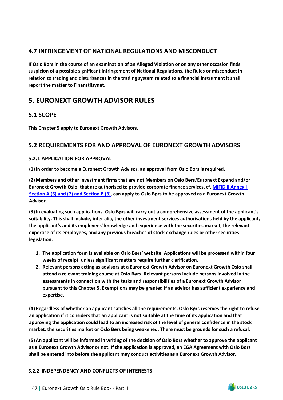# <span id="page-49-0"></span>**4.7 INFRINGEMENT OF NATIONAL REGULATIONS AND MISCONDUCT**

**If Oslo Børs in the course of an examination of an Alleged Violation or on any other occasion finds suspicion of a possible significant infringement of National Regulations, the Rules or misconduct in relation to trading and disturbances in the trading system related to a financial instrument it shall report the matter to Finanstilsynet.**

# <span id="page-49-1"></span>**5. EURONEXT GROWTH ADVISOR RULES**

# <span id="page-49-2"></span>**5.1 SCOPE**

**This Chapter 5 apply to Euronext Growth Advisors.** 

# <span id="page-49-3"></span>**5.2 REQUIREMENTS FOR AND APPROVAL OF EURONEXT GROWTH ADVISORS**

## <span id="page-49-4"></span>**5.2.1 APPLICATION FOR APPROVAL**

**(1)In order to become a Euronext Growth Advisor, an approval from Oslo Børs is required.** 

**(2)Members and other investment firms that are not Members on Oslo Børs/Euronext Expand and/or Euronext Growth Oslo, that are authorised to provide corporate finance services, cf. [MiFID II Annex I](https://eur-lex.europa.eu/legal-content/EN/TXT/?uri=celex%3A32014L0065)  [Section A \(6\) and \(7\) and Section B \(3\),](https://eur-lex.europa.eu/legal-content/EN/TXT/?uri=celex%3A32014L0065) can apply to Oslo Børs to be approved as a Euronext Growth Advisor.** 

**(3)In evaluating such applications, Oslo Børs will carry out a comprehensive assessment of the applicant's suitability. This shall include, inter alia, the other investment services authorisations held by the applicant, the applicant's and its employees' knowledge and experience with the securities market, the relevant expertise of its employees, and any previous breaches of stock exchange rules or other securities legislation.**

- **1. The application form is available on Oslo Børs' website. Applications will be processed within four weeks of receipt, unless significant matters require further clarification.**
- **2. Relevant persons acting as advisors at a Euronext Growth Advisor on Euronext Growth Oslo shall attend a relevant training course at Oslo Børs. Relevant persons include persons involved in the assessments in connection with the tasks and responsibilities of a Euronext Growth Advisor pursuant to this Chapter 5. Exemptions may be granted if an advisor has sufficient experience and expertise.**

**(4) Regardless of whether an applicant satisfies all the requirements, Oslo Børs reserves the right to refuse an application if it considers that an applicant is not suitable at the time of its application and that approving the application could lead to an increased risk of the level of general confidence in the stock market, the securities market or Oslo Børs being weakened. There must be grounds for such a refusal.**

**(5)An applicant will be informed in writing of the decision of Oslo Børs whether to approve the applicant as a Euronext Growth Advisor or not. If the application is approved, an EGA Agreement with Oslo Børs shall be entered into before the applicant may conduct activities as a Euronext Growth Advisor.** 

## <span id="page-49-5"></span>**5.2.2 INDEPENDENCY AND CONFLICTS OF INTERESTS**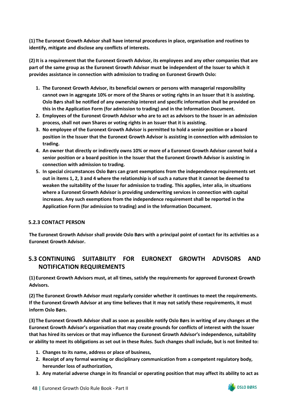**(1) The Euronext Growth Advisor shall have internal procedures in place, organisation and routines to identify, mitigate and disclose any conflicts of interests.** 

**(2)It is a requirement that the Euronext Growth Advisor, its employees and any other companies that are part of the same group as the Euronext Growth Advisor must be independent of the Issuer to which it provides assistance in connection with admission to trading on Euronext Growth Oslo:**

- **1. The Euronext Growth Advisor, its beneficial owners or persons with managerial responsibility cannot own in aggregate 10% or more of the Shares or voting rights in an Issuer that it is assisting. Oslo Børs shall be notified of any ownership interest and specific information shall be provided on this in the Application Form (for admission to trading) and in the Information Document.**
- **2. Employees of the Euronext Growth Advisor who are to act as advisors to the Issuer in an admission process, shall not own Shares or voting rights in an Issuer that it is assisting.**
- **3. No employee of the Euronext Growth Advisor is permitted to hold a senior position or a board position in the Issuer that the Euronext Growth Advisor is assisting in connection with admission to trading.**
- **4. An owner that directly or indirectly owns 10% or more of a Euronext Growth Advisor cannot hold a senior position or a board position in the Issuer that the Euronext Growth Advisor is assisting in connection with admission to trading.**
- **5. In special circumstances Oslo Børs can grant exemptions from the independence requirements set out in items 1, 2, 3 and 4 where the relationship is of such a nature that it cannot be deemed to weaken the suitability of the Issuer for admission to trading. This applies, inter alia, in situations where a Euronext Growth Advisor is providing underwriting services in connection with capital increases. Any such exemptions from the independence requirement shall be reported in the Application Form (for admission to trading) and in the Information Document.**

## <span id="page-50-0"></span>**5.2.3 CONTACT PERSON**

**The Euronext Growth Advisor shall provide Oslo Børs with a principal point of contact for its activities as a Euronext Growth Advisor.**

# <span id="page-50-1"></span>**5.3 CONTINUING SUITABILITY FOR EURONEXT GROWTH ADVISORS AND NOTIFICATION REQUIREMENTS**

**(1) Euronext Growth Advisors must, at all times, satisfy the requirements for approved Euronext Growth Advisors.**

**(2) The Euronext Growth Advisor must regularly consider whether it continues to meet the requirements. If the Euronext Growth Advisor at any time believes that it may not satisfy these requirements, it must inform Oslo Børs.**

**(3) The Euronext Growth Advisor shall as soon as possible notify Oslo Børs in writing of any changes at the Euronext Growth Advisor's organisation that may create grounds for conflicts of interest with the Issuer that has hired its services or that may influence the Euronext Growth Advisor's independence, suitability or ability to meet its obligations as set out in these Rules. Such changes shall include, but is not limited to:**

- **1. Changes to its name, address or place of business,**
- **2. Receipt of any formal warning or disciplinary communication from a competent regulatory body, hereunder loss of authorization,**
- **3. Any material adverse change in its financial or operating position that may affect its ability to act as**

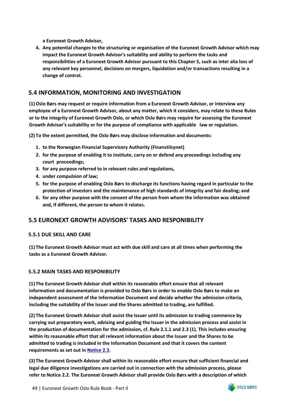**a Euronext Growth Advisor,** 

**4. Any potential changes to the structuring or organisation of the Euronext Growth Advisor which may impact the Euronext Growth Advisor's suitability and ability to perform the tasks and responsibilities of a Euronext Growth Advisor pursuant to this Chapter 5, such as inter alia loss of any relevant key personnel, decisions on mergers, liquidation and/or transactions resulting in a change of control.**

## <span id="page-51-0"></span>**5.4 INFORMATION, MONITORING AND INVESTIGATION**

**(1)Oslo Børs may request or require information from a Euronext Growth Advisor, or interview any employee of a Euronext Growth Advisor, about any matter, which it considers, may relate to these Rules or to the integrity of Euronext Growth Oslo, or which Oslo Børs may require for assessing the Euronext Growth Advisor's suitability or for the purpose of compliance with applicable law or regulation.**

**(2) To the extent permitted, the Oslo Børs may disclose information and documents:**

- **1. to the Norwegian Financial Supervisory Authority (Finanstilsynet)**
- **2. for the purpose of enabling it to institute, carry on or defend any proceedings including any court proceedings;**
- **3. for any purpose referred to in relevant rules and regulations,**
- **4. under compulsion of law;**
- **5. for the purpose of enabling Oslo Børs to discharge its functions having regard in particular to the protection of investors and the maintenance of high standards of integrity and fair dealing; and**
- **6. for any other purpose with the consent of the person from whom the information was obtained and, if different, the person to whom it relates.**

# <span id="page-51-1"></span>**5.5 EURONEXT GROWTH ADVISORS' TASKS AND RESPONIBILITY**

## <span id="page-51-2"></span>**5.5.1 DUE SKILL AND CARE**

**(1) The Euronext Growth Advisor must act with due skill and care at all times when performing the tasks as a Euronext Growth Advisor.** 

## <span id="page-51-3"></span>**5.5.2 MAIN TASKS AND RESPONIBILITY**

**(1) The Euronext Growth Advisor shall within its reasonable effort ensure that all relevant information and documentation is provided to Oslo Børs in order to enable Oslo Børs to make an independent assessment of the Information Document and decide whether the admission criteria, including the suitability of the Issuer and the Shares admitted to trading, are fulfilled.** 

**(2) The Euronext Growth Advisor shall assist the Issuer until its admission to trading commence by carrying out preparatory work, advising and guiding the Issuer in the admission process and assist in the production of documentation for the admission, cf. Rule 2.1.1 and 2.3 (1). This includes ensuring within its reasonable effort that all relevant information about the Issuer and the Shares to be admitted to trading is included in the Information Document and that it covers the content requirements as set out i[n Notice 2.3.](https://www.euronext.com/en/media/6354/download)** 

**(3) The Euronext Growth Advisor shall within its reasonable effort ensure that sufficient financial and legal due diligence investigations are carried out in connection with the admission process, please refer to Notice 2.2. The Euronext Growth Advisor shall provide Oslo Børs with a description of which** 

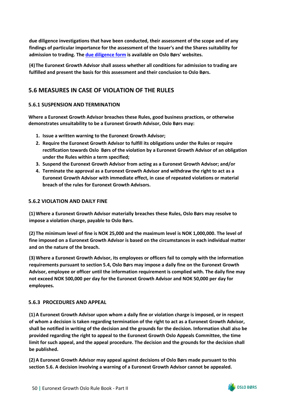**due diligence investigations that have been conducted, their assessment of the scope and of any findings of particular importance for the assessment of the Issuer's and the Shares suitability for admission to trading. The [due diligence form](https://www.euronext.com/en/media/6352/download) is available on Oslo Børs' websites.** 

**(4)The Euronext Growth Advisor shall assess whether all conditions for admission to trading are fulfilled and present the basis for this assessment and their conclusion to Oslo Børs.**

# <span id="page-52-0"></span>**5.6 MEASURES IN CASE OF VIOLATION OF THE RULES**

### <span id="page-52-1"></span>**5.6.1 SUSPENSION AND TERMINATION**

**Where a Euronext Growth Advisor breaches these Rules, good business practices, or otherwise demonstrates unsuitability to be a Euronext Growth Advisor, Oslo Børs may:** 

- **1. Issue a written warning to the Euronext Growth Advisor;**
- **2. Require the Euronext Growth Advisor to fulfill its obligations under the Rules or require rectification towards Oslo Børs of the violation by a Euronext Growth Advisor of an obligation under the Rules within a term specified;**
- **3. Suspend the Euronext Growth Advisor from acting as a Euronext Growth Advisor; and/or**
- **4. Terminate the approval as a Euronext Growth Advisor and withdraw the right to act as a Euronext Growth Advisor with immediate effect, in case of repeated violations or material breach of the rules for Euronext Growth Advisors.**

#### <span id="page-52-2"></span>**5.6.2 VIOLATION AND DAILY FINE**

**(1)Where a Euronext Growth Advisor materially breaches these Rules, Oslo Børs may resolve to impose a violation charge, payable to Oslo Børs.**

**(2) The minimum level of fine is NOK 25,000 and the maximum level is NOK 1,000,000. The level of fine imposed on a Euronext Growth Advisor is based on the circumstances in each individual matter and on the nature of the breach.**

**(3)Where a Euronext Growth Advisor, its employees or officers fail to comply with the information requirements pursuant to section 5.4, Oslo Børs may impose a daily fine on the Euronext Growth Advisor, employee or officer until the information requirement is complied with. The daily fine may not exceed NOK 500,000 per day for the Euronext Growth Advisor and NOK 50,000 per day for employees.** 

#### <span id="page-52-3"></span>**5.6.3 PROCEDURES AND APPEAL**

**(1)A Euronext Growth Advisor upon whom a daily fine or violation charge is imposed, or in respect of whom a decision is taken regarding termination of the right to act as a Euronext Growth Advisor, shall be notified in writing of the decision and the grounds for the decision. Information shall also be provided regarding the right to appeal to the Euronext Growth Oslo Appeals Committee, the time limit for such appeal, and the appeal procedure. The decision and the grounds for the decision shall be published.**

**(2)A Euronext Growth Advisor may appeal against decisions of Oslo Børs made pursuant to this section 5.6. A decision involving a warning of a Euronext Growth Advisor cannot be appealed.**